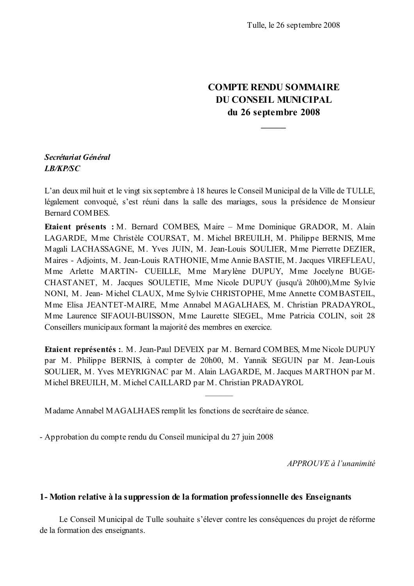# **COMPTE RENDU SOMMAIRE DU CONSEIL MUNICIPAL** du 26 septembre 2008

## Secrétariat Général **LB/KP/SC**

L'an deux mil huit et le vingt six septembre à 18 heures le Conseil Municipal de la Ville de TULLE, légalement convoqué, s'est réuni dans la salle des mariages, sous la présidence de Monsieur Bernard COMBES.

Etaient présents : M. Bernard COMBES, Maire - Mme Dominique GRADOR, M. Alain LAGARDE, Mme Christèle COURSAT, M. Michel BREUILH, M. Philippe BERNIS, Mme Magali LACHASSAGNE, M. Yves JUIN, M. Jean-Louis SOULIER, Mme Pierrette DEZIER, Maires - Adjoints, M. Jean-Louis RATHONIE, Mme Annie BASTIE, M. Jacques VIREFLEAU, Mme Arlette MARTIN- CUEILLE, Mme Marylène DUPUY, Mme Jocelyne BUGE-CHASTANET, M. Jacques SOULETIE, Mme Nicole DUPUY (jusqu'à 20h00), Mme Sylvie NONI, M. Jean- Michel CLAUX, Mme Sylvie CHRISTOPHE, Mme Annette COMBASTEIL, Mme Elisa JEANTET-MAIRE, Mme Annabel MAGALHAES, M. Christian PRADAYROL, Mme Laurence SIFAOUI-BUISSON, Mme Laurette SIEGEL, Mme Patricia COLIN, soit 28 Conseillers municipaux formant la majorité des membres en exercice.

Etaient représentés :. M. Jean-Paul DEVEIX par M. Bernard COMBES, Mme Nicole DUPUY par M. Philippe BERNIS, à compter de 20h00, M. Yannik SEGUIN par M. Jean-Louis SOULIER, M. Yves MEYRIGNAC par M. Alain LAGARDE, M. Jacques MARTHON par M. Michel BREUILH, M. Michel CAILLARD par M. Christian PRADAYROL

Madame Annabel MAGALHAES remplit les fonctions de secrétaire de séance.

- Approbation du compte rendu du Conseil municipal du 27 juin 2008

APPROUVE à l'unanimité

## 1- Motion relative à la suppression de la formation professionnelle des Enseignants

Le Conseil Municipal de Tulle souhaite s'élever contre les conséquences du projet de réforme de la formation des enseignants.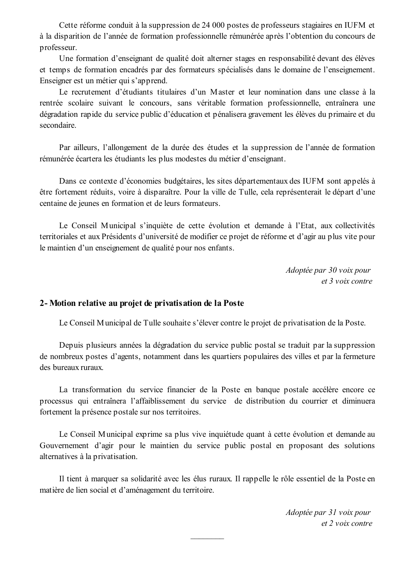Cette réforme conduit à la suppression de 24 000 postes de professeurs stagiaires en IUFM et à la disparition de l'année de formation professionnelle rémunérée après l'obtention du concours de professeur.

Une formation d'enseignant de qualité doit alterner stages en responsabilité devant des élèves et temps de formation encadrés par des formateurs spécialisés dans le domaine de l'enseignement. Enseigner est un métier qui s'apprend.

Le recrutement d'étudiants titulaires d'un Master et leur nomination dans une classe à la rentrée scolaire suivant le concours, sans véritable formation professionnelle, entraînera une dégradation rapide du service public d'éducation et pénalisera gravement les élèves du primaire et du secondaire

Par ailleurs, l'allongement de la durée des études et la suppression de l'année de formation rémunérée écartera les étudiants les plus modestes du métier d'enseignant.

Dans ce contexte d'économies budgétaires, les sites départementaux des IUFM sont appelés à être fortement réduits, voire à disparaître. Pour la ville de Tulle, cela représenterait le départ d'une centaine de jeunes en formation et de leurs formateurs.

Le Conseil Municipal s'inquiète de cette évolution et demande à l'Etat, aux collectivités territoriales et aux Présidents d'université de modifier ce projet de réforme et d'agir au plus vite pour le maintien d'un enseignement de qualité pour nos enfants.

> Adoptée par 30 voix pour et 3 voix contre

## 2- Motion relative au projet de privatisation de la Poste

Le Conseil Municipal de Tulle souhaite s'élever contre le projet de privatisation de la Poste.

Depuis plusieurs années la dégradation du service public postal se traduit par la suppression de nombreux postes d'agents, notamment dans les quartiers populaires des villes et par la fermeture des bureaux ruraux.

La transformation du service financier de la Poste en banque postale accélère encore ce processus qui entraînera l'affaiblissement du service de distribution du courrier et diminuera fortement la présence postale sur nos territoires.

Le Conseil Municipal exprime sa plus vive inquiétude quant à cette évolution et demande au Gouvernement d'agir pour le maintien du service public postal en proposant des solutions alternatives à la privatisation.

Il tient à marquer sa solidarité avec les élus ruraux. Il rappelle le rôle essentiel de la Poste en matière de lien social et d'aménagement du territoire.

> Adoptée par 31 voix pour  $et$  2 voix contre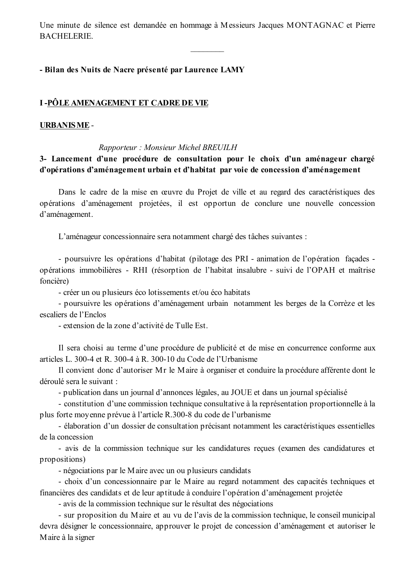Une minute de silence est demandée en hommage à Messieurs Jacques MONTAGNAC et Pierre **BACHELERIE.** 

## - Bilan des Nuits de Nacre présenté par Laurence LAMY

## I-PÔLE AMENAGEMENT ET CADRE DE VIE

### **URBANISME-**

### Rapporteur: Monsieur Michel BREUILH

3- Lancement d'une procédure de consultation pour le choix d'un aménageur chargé d'opérations d'aménagement urbain et d'habitat par voie de concession d'aménagement

Dans le cadre de la mise en œuvre du Projet de ville et au regard des caractéristiques des opérations d'aménagement projetées, il est opportun de conclure une nouvelle concession d'aménagement.

L'aménageur concessionnaire sera notamment chargé des tâches suivantes :

- pour suivre les opérations d'habitat (pilotage des PRI - animation de l'opération façades opérations immobilières - RHI (résorption de l'habitat insalubre - suivi de l'OPAH et maîtrise foncière)

- créer un ou plusieurs éco lotissements et/ou éco habitats

- poursuivre les opérations d'aménagement urbain notamment les berges de la Corrèze et les escaliers de l'Enclos

- extension de la zone d'activité de Tulle Est.

Il sera choisi au terme d'une procédure de publicité et de mise en concurrence conforme aux articles L. 300-4 et R. 300-4 à R. 300-10 du Code de l'Urbanisme

Il convient donc d'autoriser Mr le Maire à organiser et conduire la procédure afférente dont le déroulé sera le suivant :

- publication dans un journal d'annonces légales, au JOUE et dans un journal spécialisé

- constitution d'une commission technique consultative à la représentation proportionnelle à la plus forte moyenne prévue à l'article R.300-8 du code de l'urbanisme

- élaboration d'un dossier de consultation précisant notamment les caractéristiques essentielles de la concession

- avis de la commission technique sur les candidatures reçues (examen des candidatures et propositions)

- négociations par le Maire avec un ou plusieurs candidats

- choix d'un concessionnaire par le Maire au regard notamment des capacités techniques et financières des candidats et de leur aptitude à conduire l'opération d'aménagement projetée

- avis de la commission technique sur le résultat des négociations

- sur proposition du Maire et au vu de l'avis de la commission technique, le conseil municipal devra désigner le concessionnaire, approuver le projet de concession d'aménagement et autoriser le Maire à la signer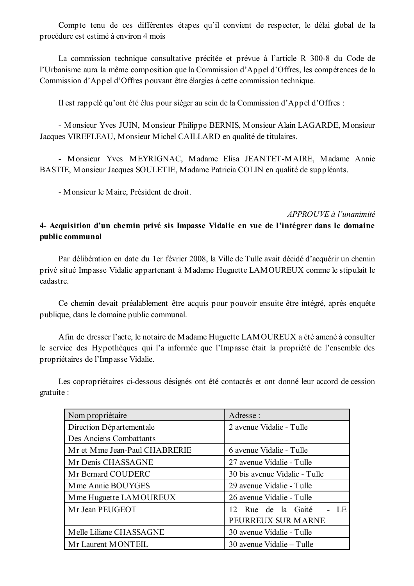Compte tenu de ces différentes étapes qu'il convient de respecter, le délai global de la procédure est estimé à environ 4 mois

La commission technique consultative précitée et prévue à l'article R 300-8 du Code de l'Urbanisme aura la même composition que la Commission d'Appel d'Offres, les compétences de la Commission d'Appel d'Offres pouvant être élargies à cette commission technique.

Il est rappelé qu'ont été élus pour sièger au sein de la Commission d'Appel d'Offres :

- Monsieur Yves JUIN, Monsieur Philippe BERNIS, Monsieur Alain LAGARDE, Monsieur Jacques VIREFLEAU, Monsieur Michel CAILLARD en qualité de titulaires.

- Monsieur Yves MEYRIGNAC, Madame Elisa JEANTET-MAIRE, Madame Annie BASTIE, Monsieur Jacques SOULETIE, Madame Patricia COLIN en qualité de suppléants.

- Monsieur le Maire, Président de droit.

### APPROUVE à l'unanimité

# 4- Acquisition d'un chemin privé sis Impasse Vidalie en vue de l'intégrer dans le domaine public communal

Par délibération en date du 1er février 2008, la Ville de Tulle avait décidé d'acquérir un chemin privé situé Impasse Vidalie appartenant à Madame Huguette LAMOUREUX comme le stipulait le cadastre.

Ce chemin devait préalablement être acquis pour pouvoir ensuite être intégré, après enquête publique, dans le domaine public communal.

Afin de dresser l'acte, le notaire de Madame Huguette LAMOUREUX a été amené à consulter le service des Hypothèques qui l'a informée que l'Impasse était la propriété de l'ensemble des propriétaires de l'Impasse Vidalie.

Les copropriétaires ci-dessous désignés ont été contactés et ont donné leur accord de cession gratuite :

| Nom propriétaire              | Adresse:                      |
|-------------------------------|-------------------------------|
| Direction Départementale      | 2 avenue Vidalie - Tulle      |
| Des Anciens Combattants       |                               |
| Mr et Mme Jean-Paul CHABRERIE | 6 avenue Vidalie - Tulle      |
| Mr Denis CHASSAGNE            | 27 avenue Vidalie - Tulle     |
| Mr Bernard COUDERC            | 30 bis avenue Vidalie - Tulle |
| M me Annie BOUYGES            | 29 avenue Vidalie - Tulle     |
| M me Huguette LAMOUREUX       | 26 avenue Vidalie - Tulle     |
| Mr Jean PEUGEOT               | $-LE$<br>12 Rue de la Gaité   |
|                               | PEURREUX SUR MARNE            |
| Melle Liliane CHASSAGNE       | 30 avenue Vidalie - Tulle     |
| Mr Laurent MONTEIL            | 30 avenue Vidalie - Tulle     |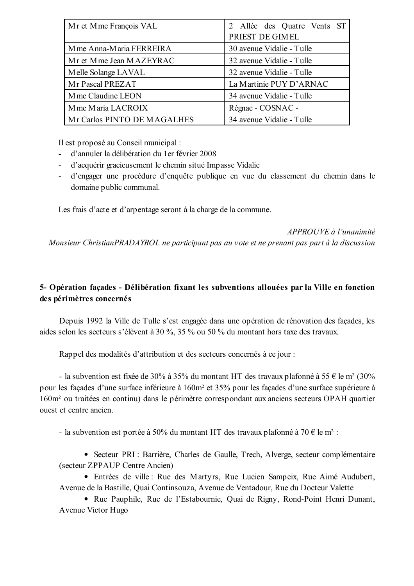| Mr et Mme François VAL      | 2 Allée des Quatre Vents ST |  |
|-----------------------------|-----------------------------|--|
|                             | PRIEST DE GIMEL             |  |
| Mme Anna-Maria FERREIRA     | 30 avenue Vidalie - Tulle   |  |
| Mr et Mme Jean MAZEYRAC     | 32 avenue Vidalie - Tulle   |  |
| Melle Solange LAVAL         | 32 avenue Vidalie - Tulle   |  |
| Mr Pascal PREZAT            | La Martinie PUY D'ARNAC     |  |
| M me Claudine LEON          | 34 avenue Vidalie - Tulle   |  |
| M me Maria LACROIX          | Régnac - COSNAC -           |  |
| Mr Carlos PINTO DE MAGALHES | 34 avenue Vidalie - Tulle   |  |

Il est proposé au Conseil municipal :

- $\omega$  . d'annuler la délibération du 1 er février 2008
- d'acquérir gracieusement le chemin situé Impasse Vidalie  $\sim$
- d'engager une procédure d'enquête publique en vue du classement du chemin dans le  $\omega_{\rm{max}}$ domaine public communal.

Les frais d'acte et d'arpentage seront à la charge de la commune.

## APPROUVE à l'unanimité

Monsieur ChristianPRADAYROL ne participant pas au vote et ne prenant pas part à la discussion

# 5- Opération façades - Délibération fixant les subventions allouées par la Ville en fonction des périmètres concernés

Depuis 1992 la Ville de Tulle s'est engagée dans une opération de rénovation des façades, les aides selon les secteurs s'élèvent à 30 %, 35 % ou 50 % du montant hors taxe des travaux.

Rappel des modalités d'attribution et des secteurs concernés à ce jour :

- la subvention est fixée de 30% à 35% du montant HT des travaux plafonné à 55 € le m<sup>2</sup> (30%) pour les façades d'une surface inférieure à 160m<sup>2</sup> et 35% pour les façades d'une surface supérieure à 160m<sup>2</sup> ou traitées en continu) dans le périmètre correspondant aux anciens secteurs OPAH quartier ouest et centre ancien.

- la subvention est portée à 50% du montant HT des travaux plafonné à 70 € le m<sup>2</sup> :

• Secteur PRI : Barrière, Charles de Gaulle, Trech, Alverge, secteur complémentaire (secteur ZPPAUP Centre Ancien)

· Entrées de ville : Rue des Martyrs, Rue Lucien Sampeix, Rue Aimé Audubert, Avenue de la Bastille, Quai Continsouza, Avenue de Ventadour, Rue du Docteur Valette

• Rue Pauphile, Rue de l'Estabournie, Quai de Rigny, Rond-Point Henri Dunant, Avenue Victor Hugo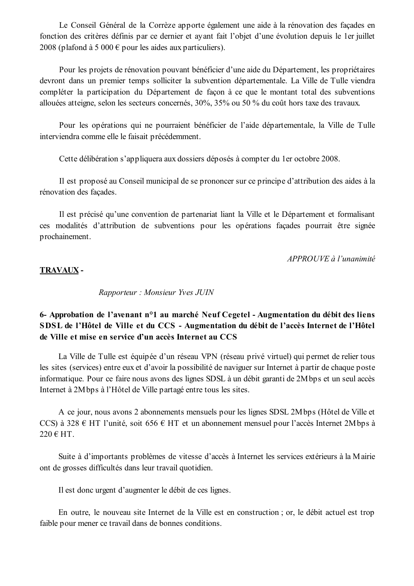Le Conseil Général de la Corrèze apporte également une aide à la rénovation des façades en fonction des critères définis par ce dernier et ayant fait l'objet d'une évolution depuis le 1 er juillet 2008 (plafond à 5 000  $\epsilon$  pour les aides aux particuliers).

Pour les projets de rénovation pouvant bénéficier d'une aide du Département, les propriétaires devront dans un premier temps solliciter la subvention départementale. La Ville de Tulle viendra compléter la participation du Département de façon à ce que le montant total des subventions allouées atteigne, selon les secteurs concernés, 30%, 35% ou 50 % du coût hors taxe des travaux.

Pour les opérations qui ne pourraient bénéficier de l'aide départementale, la Ville de Tulle interviendra comme elle le faisait précédemment.

Cette délibération s'appliquera aux dossiers déposés à compter du 1 er octobre 2008.

Il est proposé au Conseil municipal de se prononcer sur ce principe d'attribution des aides à la rénovation des façades.

Il est précisé qu'une convention de partenariat liant la Ville et le Département et formalisant ces modalités d'attribution de subventions pour les opérations facades pourrait être signée prochainement.

APPROUVE à l'unanimité

## **TRAVAUX-**

Rapporteur: Monsieur Yves JUIN

## 6- Approbation de l'avenant n<sup>o</sup>1 au marché Neuf Cegetel - Augmentation du débit des liens SDSL de l'Hôtel de Ville et du CCS - Augmentation du débit de l'accès Internet de l'Hôtel de Ville et mise en service d'un accès Internet au CCS

La Ville de Tulle est équipée d'un réseau VPN (réseau privé virtuel) qui permet de relier tous les sites (services) entre eux et d'avoir la possibilité de naviguer sur Internet à partir de chaque poste informatique. Pour ce faire nous avons des lignes SDSL à un débit garanti de 2M bps et un seul accès Internet à 2M bps à l'Hôtel de Ville partagé entre tous les sites.

A ce jour, nous avons 2 abonnements mensuels pour les lignes SDSL 2M bps (Hôtel de Ville et CCS) à 328  $\epsilon$  HT l'unité, soit 656  $\epsilon$  HT et un abonnement mensuel pour l'accès Internet 2Mbps à 220 € HT.

Suite à d'importants problèmes de vitesse d'accès à Internet les services extérieurs à la Mairie ont de grosses difficultés dans leur travail quotidien.

Il est donc urgent d'augmenter le débit de ces lignes.

En outre, le nouveau site Internet de la Ville est en construction; or, le débit actuel est trop faible pour mener ce travail dans de bonnes conditions.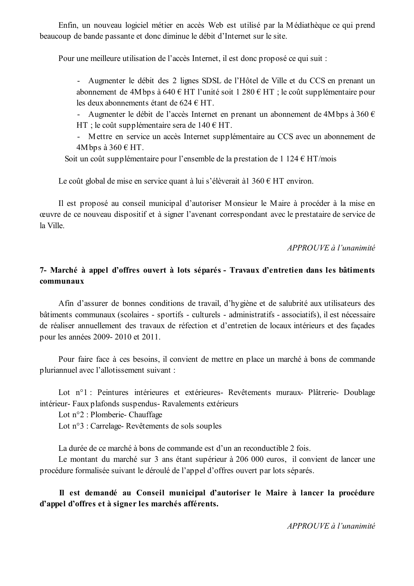Enfin, un nouveau logiciel métier en accès Web est utilisé par la Médiathèque ce qui prend beaucoup de bande passante et donc diminue le débit d'Internet sur le site.

Pour une meilleure utilisation de l'accès Internet, il est donc proposé ce qui suit :

- Augmenter le débit des 2 lignes SDSL de l'Hôtel de Ville et du CCS en prenant un abonnement de 4M bps à 640 € HT l'unité soit 1 280 € HT ; le coût supplémentaire pour les deux abonnements étant de 624 € HT.

- Augmenter le débit de l'accès Internet en prenant un abonnement de 4M bps à 360  $\epsilon$ HT ; le coût supplémentaire sera de  $140 \text{ } \in$  HT.

- Mettre en service un accès Internet supplémentaire au CCS avec un abonnement de 4Mbps à  $360 \text{ } \in$  HT.

Soit un coût supplémentaire pour l'ensemble de la prestation de 1 124  $\epsilon$  HT/mois

Le coût global de mise en service quant à lui s'élèverait à 1360  $\epsilon$  HT environ.

Il est proposé au conseil municipal d'autoriser Monsieur le Maire à procéder à la mise en œuvre de ce nouveau dispositif et à signer l'avenant correspondant avec le prestataire de service de la Ville

APPROUVE à l'unanimité

## 7- Marché à appel d'offres ouvert à lots séparés - Travaux d'entretien dans les bâtiments communaux

Afin d'assurer de bonnes conditions de travail, d'hygiène et de salubrité aux utilisateurs des bâtiments communaux (scolaires - sportifs - culturels - administratifs - associatifs), il est nécessaire de réaliser annuellement des travaux de réfection et d'entretien de locaux intérieurs et des façades pour les années 2009-2010 et 2011.

Pour faire face à ces besoins, il convient de mettre en place un marché à bons de commande pluriannuel avec l'allotissement suivant :

Lot n°1 : Peintures intérieures et extérieures- Revêtements muraux- Plâtrerie- Doublage intérieur- Faux plafonds suspendus- Ravalements extérieurs

Lot n°2 : Plomberie- Chauffage

Lot n°3 : Carrelage-Revêtements de sols souples

La durée de ce marché à bons de commande est d'un an reconductible 2 fois.

Le montant du marché sur 3 ans étant supérieur à 206 000 euros, il convient de lancer une procédure formalisée suivant le déroulé de l'appel d'offres ouvert par lots séparés.

Il est demandé au Conseil municipal d'autoriser le Maire à lancer la procédure d'appel d'offres et à signer les marchés afférents.

APPROUVE à l'unanimité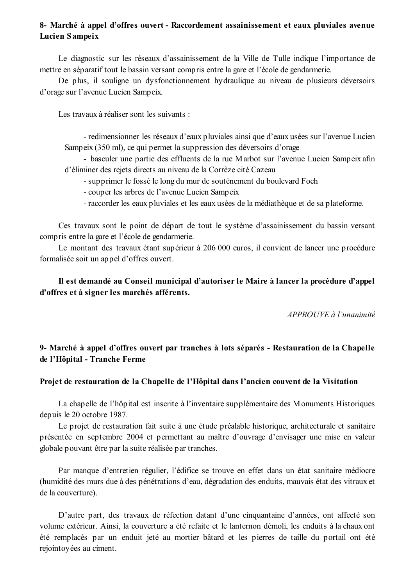## 8- Marché à appel d'offres ouvert - Raccordement assainissement et eaux pluviales avenue Lucien Sampeix

Le diagnostic sur les réseaux d'assainissement de la Ville de Tulle indique l'importance de mettre en séparatif tout le bassin versant compris entre la gare et l'école de gendarmerie.

De plus, il souligne un dysfonctionnement hydraulique au niveau de plusieurs déversoirs d'orage sur l'avenue Lucien Sampeix.

Les travaux à réaliser sont les suivants :

- redimensionner les réseaux d'eaux pluviales ainsi que d'eaux usées sur l'avenue Lucien Sampeix (350 ml), ce qui permet la suppression des déversoirs d'orage

- basculer une partie des effluents de la rue Marbot sur l'avenue Lucien Sampeix afin d'éliminer des rejets directs au niveau de la Corrèze cité Cazeau

- supprimer le fossé le long du mur de soutènement du boulevard Foch
- couper les arbres de l'avenue Lucien Sampeix
- raccorder les eaux pluviales et les eaux usées de la médiathèque et de sa plateforme.

Ces travaux sont le point de départ de tout le système d'assainissement du bassin versant compris entre la gare et l'école de gendarmerie.

Le montant des travaux étant supérieur à 206 000 euros, il convient de lancer une procédure formalisée soit un appel d'offres ouvert.

# Il est demandé au Conseil municipal d'autoriser le Maire à lancer la procédure d'appel d'offres et à signer les marchés afférents.

APPROUVE à l'unanimité

# 9- Marché à appel d'offres ouvert par tranches à lots séparés - Restauration de la Chapelle de l'Hôpital - Tranche Ferme

## Projet de restauration de la Chapelle de l'Hôpital dans l'ancien couvent de la Visitation

La chapelle de l'hôpital est inscrite à l'inventaire supplémentaire des Monuments Historiques depuis le 20 octobre 1987.

Le projet de restauration fait suite à une étude préalable historique, architecturale et sanitaire présentée en septembre 2004 et permettant au maître d'ouvrage d'envisager une mise en valeur globale pouvant être par la suite réalisée par tranches.

Par manque d'entretien régulier, l'édifice se trouve en effet dans un état sanitaire médiocre (humidité des murs due à des pénétrations d'eau, dégradation des enduits, mauvais état des vitraux et de la couverture).

D'autre part, des travaux de réfection datant d'une cinquantaine d'années, ont affecté son volume extérieur. Ainsi, la couverture a été refaite et le lanternon démoli, les enduits à la chaux ont été remplacés par un enduit jeté au mortier bâtard et les pierres de taille du portail ont été rejointoyées au ciment.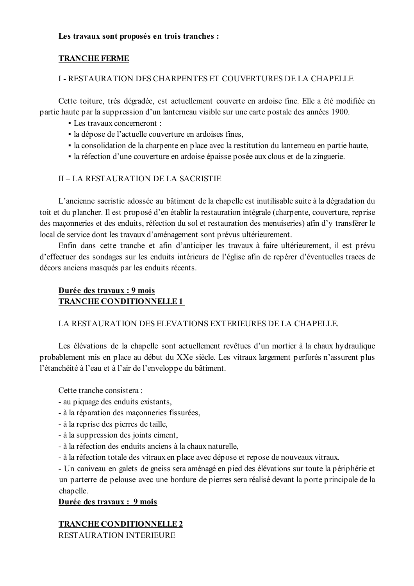### Les travaux sont proposés en trois tranches :

## **TRANCHE FERME**

## I - RESTAURATION DES CHARPENTES ET COUVERTURES DE LA CHAPELLE

Cette toiture, très dégradée, est actuellement couverte en ardoise fine. Elle a été modifiée en partie haute par la suppression d'un lanterneau visible sur une carte postale des années 1900.

- $\blacksquare$  Les travaux concerneront  $\cdot$
- · la dépose de l'actuelle couverture en ardoises fines,
- la consolidation de la charpente en place avec la restitution du lanterneau en partie haute,
- · la réfection d'une couverture en ardoise épaisse posée aux clous et de la zinguerie.

## II-LA RESTAURATION DE LA SACRISTIE

L'ancienne sacristie adossée au bâtiment de la chapelle est inutilisable suite à la dégradation du toit et du plancher. Il est proposé d'en établir la restauration intégrale (charpente, couverture, reprise des maçonneries et des enduits, réfection du sol et restauration des menuiseries) afin d'y transférer le local de service dont les travaux d'aménagement sont prévus ultérieurement.

Enfin dans cette tranche et afin d'anticiper les travaux à faire ultérieurement, il est prévu d'effectuer des sondages sur les enduits intérieurs de l'église afin de repérer d'éventuelles traces de décors anciens masqués par les enduits récents.

## Durée des travaux : 9 mois **TRANCHE CONDITIONNELLE 1**

## LA RESTAURATION DES ELEVATIONS EXTERIEURES DE LA CHAPELLE.

Les élévations de la chapelle sont actuellement revêtues d'un mortier à la chaux hydraulique probablement mis en place au début du XXe siècle. Les vitraux largement perforés n'assurent plus l'étanchéité à l'eau et à l'air de l'enveloppe du bâtiment.

Cette tranche consistera :

- au piquage des enduits existants,
- à la réparation des maçonneries fissurées,
- à la reprise des pierres de taille,
- à la suppression des joints ciment,
- à la réfection des enduits anciens à la chaux naturelle.
- à la réfection totale des vitraux en place avec dépose et repose de nouveaux vitraux.

- Un caniveau en galets de gneiss sera aménagé en pied des élévations sur toute la périphérie et un parterre de pelouse avec une bordure de pierres sera réalisé devant la porte principale de la chapelle.

## Durée des travaux : 9 mois

## **TRANCHE CONDITIONNELLE 2**

RESTAURATION INTERIEURE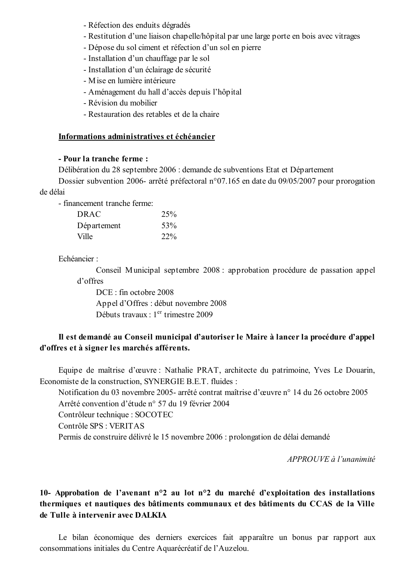- Réfection des enduits dégradés
- Restitution d'une liaison chapelle/hôpital par une large porte en bois avec vitrages
- Dépose du sol ciment et réfection d'un sol en pierre
- Installation d'un chauffage par le sol
- Installation d'un éclairage de sécurité
- Mise en lumière intérieure
- Aménagement du hall d'accès depuis l'hôpital
- Révision du mobilier
- Restauration des retables et de la chaire

### Informations administratives et échéancier

### - Pour la tranche ferme :

Délibération du 28 septembre 2006 : demande de subventions Etat et Département

Dossier subvention 2006- arrêté préfectoral n°07.165 en date du 09/05/2007 pour prorogation de délai

- financement tranche ferme:

| <b>DRAC</b> | 25% |
|-------------|-----|
| Département | 53% |
| Ville       | 22% |

Echéancier ·

Conseil Municipal septembre 2008 : approbation procédure de passation appel d'offres

DCE: fin octobre 2008 Appel d'Offres : début novembre 2008 Débuts travaux : 1<sup>er</sup> trimestre 2009

## Il est demandé au Conseil municipal d'autoriser le Maire à lancer la procédure d'appel d'offres et à signer les marchés afférents.

Equipe de maîtrise d'œuvre : Nathalie PRAT, architecte du patrimoine, Yves Le Douarin, Economiste de la construction, SYNERGIE B.E.T. fluides :

Notification du 03 novembre 2005- arrêté contrat maîtrise d'œuvre n° 14 du 26 octobre 2005 Arrêté convention d'étude n° 57 du 19 février 2004

Contrôleur technique : SOCOTEC

Contrôle SPS : VERITAS

Permis de construire délivré le 15 novembre 2006 : prolongation de délai demandé

APPROUVE à l'unanimité

# 10- Approbation de l'avenant n°2 au lot n°2 du marché d'exploitation des installations thermiques et nautiques des bâtiments communaux et des bâtiments du CCAS de la Ville de Tulle à intervenir avec DALKIA

Le bilan économique des derniers exercices fait apparaître un bonus par rapport aux consommations initiales du Centre Aquarécréatif de l'Auzelou.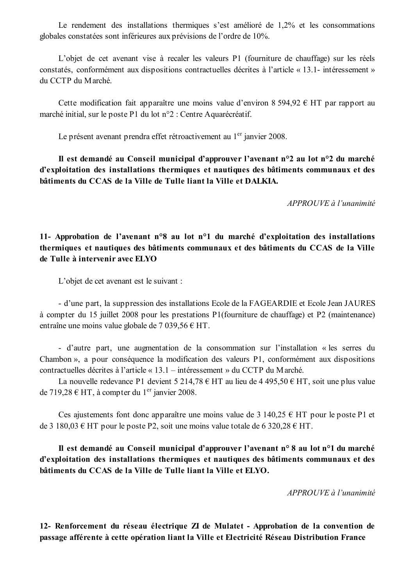Le rendement des installations thermiques s'est amélioré de 1,2% et les consommations globales constatées sont inférieures aux prévisions de l'ordre de 10%.

L'objet de cet avenant vise à recaler les valeurs P1 (fourniture de chauffage) sur les réels constatés, conformément aux dispositions contractuelles décrites à l'article « 13.1- intéressement » du CCTP du Marché.

Cette modification fait apparaître une moins value d'environ 8 594,92  $\epsilon$  HT par rapport au marché initial, sur le poste P1 du lot n°2 : Centre Aquarécréatif.

Le présent avenant prendra effet rétroactivement au 1<sup>er</sup> janvier 2008.

Il est demandé au Conseil municipal d'approuver l'avenant n°2 au lot n°2 du marché d'exploitation des installations thermiques et nautiques des bâtiments communaux et des bâtiments du CCAS de la Ville de Tulle liant la Ville et DALKIA.

APPROUVE à l'unanimité

11- Approbation de l'avenant n°8 au lot n°1 du marché d'exploitation des installations thermiques et nautiques des bâtiments communaux et des bâtiments du CCAS de la Ville de Tulle à intervenir avec ELYO

L'objet de cet avenant est le suivant :

- d'une part, la suppression des installations Ecole de la FAGEARDIE et Ecole Jean JAURES à compter du 15 juillet 2008 pour les prestations P1(fourniture de chauffage) et P2 (maintenance) entraîne une moins value globale de 7 039,56  $\epsilon$  HT.

- d'autre part, une augmentation de la consommation sur l'installation « les serres du Chambon », a pour conséquence la modification des valeurs  $P1$ , conformément aux dispositions contractuelles décrites à l'article « 13.1 – intéressement » du CCTP du Marché.

La nouvelle redevance P1 devient 5 214,78 € HT au lieu de 4 495,50 € HT, soit une plus value de 719,28 € HT, à compter du 1<sup>er</sup> janvier 2008.

Ces ajustements font donc apparaître une moins value de 3 140,25 € HT pour le poste P1 et de 3 180,03  $\epsilon$  HT pour le poste P2, soit une moins value totale de 6 320,28  $\epsilon$  HT.

Il est demandé au Conseil municipal d'approuver l'avenant n° 8 au lot n°1 du marché d'exploitation des installations thermiques et nautiques des bâtiments communaux et des bâtiments du CCAS de la Ville de Tulle liant la Ville et ELYO.

APPROUVE à l'unanimité

12- Renforcement du réseau électrique ZI de Mulatet - Approbation de la convention de passage afférente à cette opération liant la Ville et Electricité Réseau Distribution France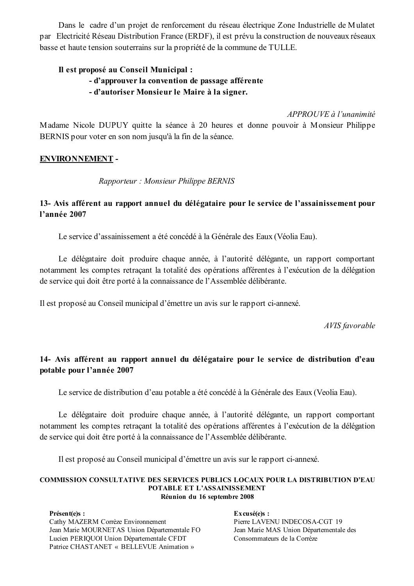Dans le cadre d'un projet de renforcement du réseau électrique Zone Industrielle de Mulatet par Electricité Réseau Distribution France (ERDF), il est prévu la construction de nouveaux réseaux basse et haute tension souterrains sur la propriété de la commune de TULLE.

## Il est proposé au Conseil Municipal :

- d'approuver la convention de passage afférente
- d'autoriser Monsieur le Maire à la signer.

### APPROUVE à l'unanimité

Madame Nicole DUPUY quitte la séance à 20 heures et donne pouvoir à Monsieur Philippe BERNIS pour voter en son nom jusqu'à la fin de la séance.

## **ENVIRONNEMENT -**

Rapporteur: Monsieur Philippe BERNIS

## 13- Avis afférent au rapport annuel du délégataire pour le service de l'assainissement pour l'année 2007

Le service d'assainissement a été concédé à la Générale des Eaux (Véolia Eau).

Le délégataire doit produire chaque année, à l'autorité délégante, un rapport comportant notamment les comptes retraçant la totalité des opérations afférentes à l'exécution de la délégation de service qui doit être porté à la connaissance de l'Assemblée délibérante.

Il est proposé au Conseil municipal d'émettre un avis sur le rapport ci-annexé.

AVIS favorable

## 14- Avis afférent au rapport annuel du délégataire pour le service de distribution d'eau potable pour l'année 2007

Le service de distribution d'eau potable a été concédé à la Générale des Eaux (Veolia Eau).

Le délégataire doit produire chaque année, à l'autorité délégante, un rapport comportant notamment les comptes retraçant la totalité des opérations afférentes à l'exécution de la délégation de service qui doit être porté à la connaissance de l'Assemblée délibérante.

Il est proposé au Conseil municipal d'émettre un avis sur le rapport ci-annexé.

### **COMMISSION CONSULTATIVE DES SERVICES PUBLICS LOCAUX POUR LA DISTRIBUTION D'EAU** POTABLE ET L'ASSAINISSEMENT Réunion du 16 septembre 2008

Présent(e)s : Cathy MAZERM Corrèze Environnement Jean Marie MOURNETAS Union Départementale FO Lucien PERIOUOI Union Départementale CFDT Patrice CHASTANET « BELLEVUE Animation »

 $Ex\,cis\acute{e}(e)s$  : Pierre LAVENU INDECOSA-CGT 19 Jean Marie MAS Union Départementale des Consommateurs de la Corrèze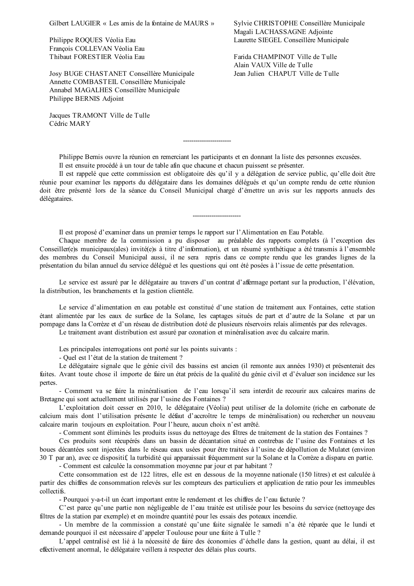Gilbert LAUGIER « Les amis de la fontaine de MAURS »

Philippe ROQUES Véolia Eau François COLLEVAN Véolia Eau Thibaut FORESTIER Véolia Eau

Josy BUGE CHASTANET Conseillère Municipale Annette COMBASTEIL Conseillère Municipale Annabel MAGALHES Conseillère Municipale Philippe BERNIS Adjoint

Jacques TRAMONT Ville de Tulle Cédric MARY

Sylvie CHRISTOPHE Conseillère Municipale Magali LACHASSAGNE Adjointe Laurette SIEGEL Conseillère Municipale

Farida CHAMPINOT Ville de Tulle Alain VAUX Ville de Tulle Jean Julien CHAPUT Ville de Tulle

Philippe Bernis ouvre la réunion en remerciant les participants et en donnant la liste des personnes excusées. Il est ensuite procédé à un tour de table afin que chacune et chacun puissent se présenter.

Il est rappelé que cette commission est obligatoire dès qu'il y a délégation de service public, qu'elle doit être réunie pour examiner les rapports du délégataire dans les domaines délégués et qu'un compte rendu de cette réunion doit être présenté lors de la séance du Conseil Municipal chargé d'émettre un avis sur les rapports annuels des délégataires.

Il est proposé d'examiner dans un premier temps le rapport sur l'Alimentation en Eau Potable.

Chaque membre de la commission a pu disposer au préalable des rapports complets (à l'exception des Conseiller(e)s municipaux(ales) invité(e)s à titre d'information), et un résumé synthétique a été transmis à l'ensemble des membres du Conseil Municipal aussi, il ne sera repris dans ce compte rendu que les grandes lignes de la présentation du bilan annuel du service délégué et les questions qui ont été posées à l'issue de cette présentation.

Le service est assuré par le délégataire au travers d'un contrat d'affermage portant sur la production, l'élévation, la distribution, les branchements et la gestion clientèle.

Le service d'alimentation en eau potable est constitué d'une station de traitement aux Fontaines, cette station étant alimentée par les eaux de surface de la Solane, les captages situés de part et d'autre de la Solane et par un pompage dans la Corrèze et d'un réseau de distribution doté de plusieurs réservoirs relais alimentés par des relevages.

Le traitement avant distribution est assuré par ozonation et minéralisation avec du calcaire marin.

Les principales interrogations ont porté sur les points suivants :

- Quel est l'état de la station de traitement ?

Le délégataire signale que le génie civil des bassins est ancien (il remonte aux années 1930) et présenterait des fuites. Avant toute chose il importe de faire un état précis de la qualité du génie civil et d'évaluer son incidence sur les pertes.

- Comment va se faire la minéralisation de l'eau lorsqu'il sera interdit de recourir aux calcaires marins de Bretagne qui sont actuellement utilisés par l'usine des Fontaines ?

L'exploitation doit cesser en 2010, le délégataire (Véolia) peut utiliser de la dolomite (riche en carbonate de calcium mais dont l'utilisation présente le défaut d'accroître le temps de minéralisation) ou rechercher un nouveau calcaire marin toujours en exploitation. Pour l'heure, aucun choix n'est arrêté.

- Comment sont éliminés les produits issus du nettoyage des filtres de traitement de la station des Fontaines ?

Ces produits sont récupérés dans un bassin de décantation situé en contrebas de l'usine des Fontaines et les boues décantées sont injectées dans le réseau eaux usées pour être traitées à l'usine de dépollution de Mulatet (environ 30 T par an), avec ce dispositif, la turbidité qui apparaissait fréquemment sur la Solane et la Corrèze a disparu en partie.

- Comment est calculée la consommation moyenne par jour et par habitant ?

Cette consommation est de 122 litres, elle est en dessous de la moyenne nationale (150 litres) et est calculée à partir des chiffres de consommation relevés sur les compteurs des particuliers et application de ratio pour les immeubles collectifs.

- Pourquoi y-a-t-il un écart important entre le rendement et les chiffres de l'eau facturée ?

C'est parce qu'une partie non négligeable de l'eau traitée est utilisée pour les besoins du service (nettoyage des filtres de la station par exemple) et en moindre quantité pour les essais des poteaux incendie.

- Un membre de la commission a constaté qu'une fuite signalée le samedi n'a été réparée que le lundi et demande pourquoi il est nécessaire d'appeler Toulouse pour une fuite à Tulle ?

L'appel centralisé est lié à la nécessité de faire des économies d'échelle dans la gestion, quant au délai, il est effectivement anormal, le délégataire veillera à respecter des délais plus courts.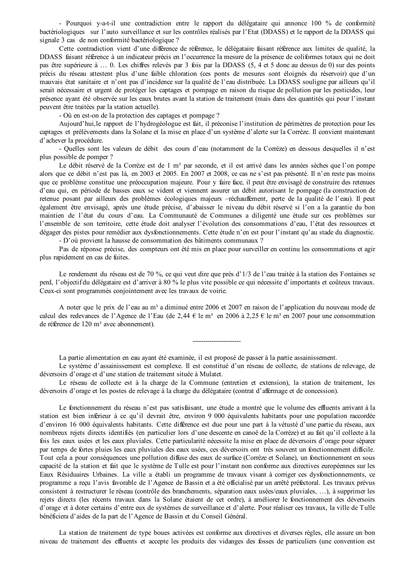- Pourquoi v-a-t-il une contradiction entre le rapport du délégataire qui annonce 100 % de conformité bactériologiques sur l'auto surveillance et sur les contrôles réalisés par l'Etat (DDASS) et le rapport de la DDASS qui signale 3 cas de non conformité bactériologique ?

Cette contradiction vient d'une différence de référence, le délégataire faisant référence aux limites de qualité, la DDASS faisant référence à un indicateur précis en l'occurrence la mesure de la présence de coliformes totaux qui ne doit pas être supérieure à ... 0. Les chiffres relevés par 3 fois par la DDASS (5, 4 et 5 donc au dessus de 0) sur des points précis du réseau attestent plus d'une faible chloration (ces ponts de mesures sont éloignés du réservoir) que d'un mauvais état sanitaire et n'ont pas d'incidence sur la qualité de l'eau distribuée. La DDASS souligne par ailleurs qu'il serait nécessaire et urgent de protéger les captages et pompage en raison du risque de pollution par les pesticides, leur présence ayant été observée sur les eaux brutes avant la station de traitement (mais dans des quantités qui pour l'instant peuvent être traitées par la station actuelle).

- Où en est-on de la protection des captages et pompage?

Aujourd'hui, le rapport de l'hydrogéologue est fait, il préconise l'institution de périmètres de protection pour les captages et prélèvements dans la Solane et la mise en place d'un système d'alerte sur la Corrèze. Il convient maintenant d'achever la procédure.

- Quelles sont les valeurs de débit des cours d'eau (notamment de la Corrèze) en dessous desquelles il n'est plus possible de pomper ?

Le débit réservé de la Corrèze est de 1 m<sup>3</sup> par seconde, et il est arrivé dans les années sèches que l'on pompe alors que ce débit n'est pas là, en 2003 et 2005. En 2007 et 2008, ce cas ne s'est pas présenté. Il n'en reste pas moins que ce problème constitue une préoccupation majeure. Pour y faire face, il peut être envisagé de construire des retenues d'eau qui, en période de basses eaux se vident et viennent assurer un débit autorisant le pompage (la construction de retenue posant par ailleurs des problèmes écologiques majeurs -réchauffement, perte de la qualité de l'eau). Il peut également être envisagé, après une étude précise, d'abaisser le niveau du débit réservé si l'on a la garantie du bon maintien de l'état du cours d'eau. La Communauté de Communes a diligenté une étude sur ces problèmes sur l'ensemble de son territoire, cette étude doit analyser l'évolution des consommations d'eau, l'état des ressources et dégager des pistes pour remédier aux dysfonctionnements. Cette étude n'en est pour l'instant qu'au stade du diagnostic.

- D'où provient la hausse de consommation des bâtiments communaux ?

Pas de réponse précise, des compteurs ont été mis en place pour surveiller en continu les consommations et agir plus rapidement en cas de fuites.

Le rendement du réseau est de 70 %, ce qui veut dire que près d'1/3 de l'eau traitée à la station des Fontaines se perd, l'objectif du délégataire est d'arriver à 80 % le plus vite possible ce qui nécessite d'importants et coûteux travaux. Ceux-ci sont programmés conjointement avec les travaux de voirie.

A noter que le prix de l'eau au m<sup>3</sup> a diminué entre 2006 et 2007 en raison de l'application du nouveau mode de calcul des redevances de l'Agence de l'Eau (de 2,44 € le m<sup>3</sup> en 2006 à 2,25 € le m<sup>3</sup> en 2007 pour une consommation de référence de 120 m<sup>3</sup> avec abonnement).

La partie alimentation en eau ayant été examinée, il est proposé de passer à la partie assainissement.

Le système d'assainissement est complexe. Il est constitué d'un réseau de collecte, de stations de relevage, de déversoirs d'orage et d'une station de traitement située à Mulatet.

Le réseau de collecte est à la charge de la Commune (entretien et extension), la station de traitement, les déversoirs d'orage et les postes de relevage à la charge du délégataire (contrat d'affermage et de concession).

Le fonctionnement du réseau n'est pas satisfaisant, une étude a montré que le volume des effluents arrivant à la station est bien inférieur à ce qu'il devrait être, environ 9 000 équivalents habitants pour une population raccordée d'environ 16 000 équivalents habitants. Cette différence est due pour une part à la vétusté d'une partie du réseau, aux nombreux rejets directs identifiés (en particulier lors d'une descente en canoë de la Corrèze) et au fait qu'il collecte à la fois les eaux usées et les eaux pluviales. Cette particularité nécessite la mise en place de déversoirs d'orage pour séparer par temps de fortes pluies les eaux pluviales des eaux usées, ces déversoirs ont très souvent un fonctionnement difficile. Tout cela a pour conséquences une pollution diffuse des eaux de surface (Corrèze et Solane), un fonctionnement en sous capacité de la station et fait que le système de Tulle est pour l'instant non conforme aux directives européennes sur les Eaux Résiduaires Urbaines. La ville a établi un programme de travaux visant à corriger ces dysfonctionnements, ce programme a reçu l'avis favorable de l'Agence de Bassin et a été officialisé par un arrêté préfectoral. Les travaux prévus consistent à restructurer le réseau (contrôle des branchements, séparation eaux usées/eaux pluviales, ...), à supprimer les rejets directs (les récents travaux dans la Solane étaient de cet ordre), à améliorer le fonctionnement des déversoirs d'orage et à doter certains d'entre eux de systèmes de surveillance et d'alerte. Pour réaliser ces travaux, la ville de Tulle bénéficiera d'aides de la part de l'Agence de Bassin et du Conseil Général.

La station de traitement de type boues activées est conforme aux directives et diverses règles, elle assure un bon niveau de traitement des effluents et accepte les produits des vidanges des fosses de particuliers (une convention est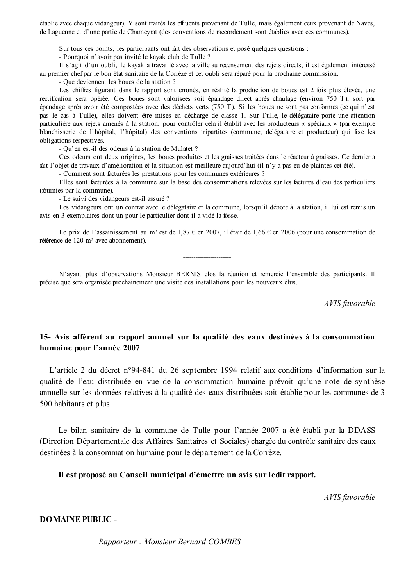établie avec chaque vidangeur). Y sont traités les effluents provenant de Tulle, mais également ceux provenant de Naves. de Laguenne et d'une partie de Chameyrat (des conventions de raccordement sont établies avec ces communes).

Sur tous ces points, les participants ont fait des observations et posé quelques questions :

- Pourquoi n'avoir pas invité le kayak club de Tulle ?

Il s'agit d'un oubli, le kayak a travaillé avec la ville au recensement des rejets directs, il est également intéressé au premier chef par le bon état sanitaire de la Corrèze et cet oubli sera réparé pour la prochaine commission.

- Oue deviennent les boues de la station ?

Les chiffres figurant dans le rapport sont erronés, en réalité la production de boues est 2 fois plus élevée, une rectification sera opérée. Ces boues sont valorisées soit épandage direct après chaulage (environ 750 T), soit par épandage après avoir été compostées avec des déchets verts (750 T). Si les boues ne sont pas conformes (ce qui n'est pas le cas à Tulle), elles doivent être mises en décharge de classe 1. Sur Tulle, le délégataire porte une attention particulière aux rejets amenés à la station, pour contrôler cela il établit avec les producteurs « spéciaux » (par exemple blanchisserie de l'hôpital, l'hôpital) des conventions tripartites (commune, délégataire et producteur) qui fixe les obligations respectives.

- Qu'en est-il des odeurs à la station de Mulatet ?

Ces odeurs ont deux origines, les boues produites et les graisses traitées dans le réacteur à graisses. Ce dernier a fait l'objet de travaux d'amélioration et la situation est meilleure aujourd'hui (il n'y a pas eu de plaintes cet été).

- Comment sont facturées les prestations pour les communes extérieures ?

Elles sont facturées à la commune sur la base des consommations relevées sur les factures d'eau des particuliers (fournies par la commune).

- Le suivi des vidangeurs est-il assuré ?

Les vidangeurs ont un contrat avec le délégataire et la commune, lorsqu'il dépote à la station, il lui est remis un avis en 3 exemplaires dont un pour le particulier dont il a vidé la fosse.

Le prix de l'assainissement au m<sup>3</sup> est de 1,87 € en 2007, il était de 1,66 € en 2006 (pour une consommation de référence de  $120 \text{ m}^3$  avec abonnement).

N'ayant plus d'observations Monsieur BERNIS clos la réunion et remercie l'ensemble des participants. Il précise que sera organisée prochainement une visite des installations pour les nouveaux élus.

AVIS favorable

## 15- Avis afférent au rapport annuel sur la qualité des eaux destinées à la consommation humaine pour l'année 2007

L'article 2 du décret n°94-841 du 26 septembre 1994 relatif aux conditions d'information sur la qualité de l'eau distribuée en vue de la consommation humaine prévoit qu'une note de synthèse annuelle sur les données relatives à la qualité des eaux distribuées soit établie pour les communes de 3 500 habitants et plus.

Le bilan sanitaire de la commune de Tulle pour l'année 2007 a été établi par la DDASS (Direction Départementale des Affaires Sanitaires et Sociales) chargée du contrôle sanitaire des eaux destinées à la consommation humaine pour le département de la Corrèze.

### Il est proposé au Conseil municipal d'émettre un avis sur ledit rapport.

AVIS favorable

### **DOMAINE PUBLIC -**

Rapporteur: Monsieur Bernard COMBES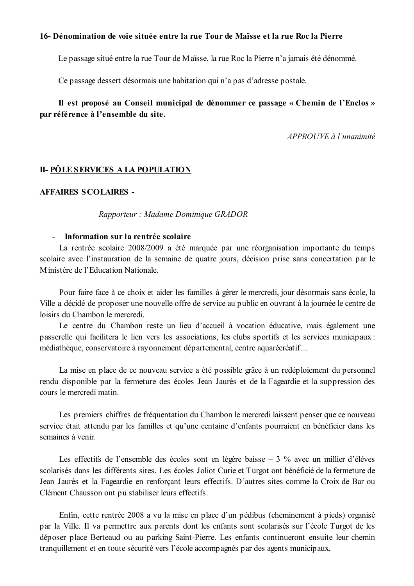### 16- Dénomination de voie située entre la rue Tour de Maïsse et la rue Roc la Pierre

Le passage situé entre la rue Tour de Maïsse, la rue Roc la Pierre n'a jamais été dénommé.

Ce passage dessert désormais une habitation qui n'a pas d'adresse postale.

## Il est proposé au Conseil municipal de dénommer ce passage « Chemin de l'Enclos » par référence à l'ensemble du site.

APPROUVE à l'unanimité

### **II- PÔLE SERVICES A LA POPULATION**

### **AFFAIRES SCOLAIRES -**

### Rapporteur: Madame Dominique GRADOR

### - Information sur la rentrée scolaire

La rentrée scolaire 2008/2009 a été marquée par une réorganisation importante du temps scolaire avec l'instauration de la semaine de quatre jours, décision prise sans concertation par le Ministère de l'Education Nationale

Pour faire face à ce choix et aider les familles à gérer le mercredi, jour désormais sans école, la Ville a décidé de proposer une nouvelle offre de service au public en ouvrant à la journée le centre de loisirs du Chambon le mercredi.

Le centre du Chambon reste un lieu d'accueil à vocation éducative, mais également une passerelle qui facilitera le lien vers les associations, les clubs sportifs et les services municipaux : médiathèque, conservatoire à rayonnement départemental, centre aquarécréatif...

La mise en place de ce nouveau service a été possible grâce à un redéploiement du personnel rendu disponible par la fermeture des écoles Jean Jaurès et de la Fageardie et la suppression des cours le mercredi matin.

Les premiers chiffres de fréquentation du Chambon le mercredi laissent penser que ce nouveau service était attendu par les familles et qu'une centaine d'enfants pourraient en bénéficier dans les semaines à venir.

Les effectifs de l'ensemble des écoles sont en légère baisse  $-3$  % avec un millier d'élèves scolarisés dans les différents sites. Les écoles Joliot Curie et Turgot ont bénéficié de la fermeture de Jean Jaurès et la Fageardie en renforçant leurs effectifs. D'autres sites comme la Croix de Bar ou Clément Chausson ont pu stabiliser leurs effectifs.

Enfin, cette rentrée 2008 a vu la mise en place d'un pédibus (cheminement à pieds) organisé par la Ville. Il va permettre aux parents dont les enfants sont scolarisés sur l'école Turgot de les déposer place Berteaud ou au parking Saint-Pierre. Les enfants continueront ensuite leur chemin tranquillement et en toute sécurité vers l'école accompagnés par des agents municipaux.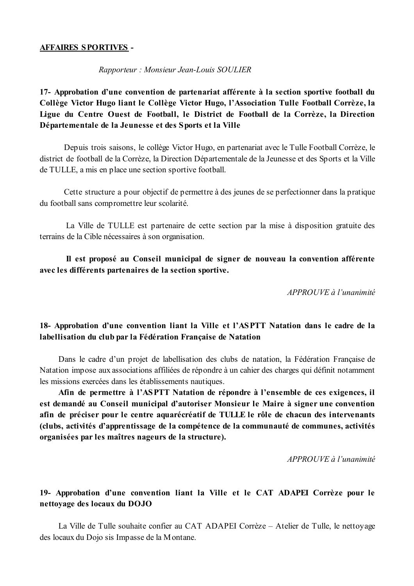### **AFFAIRES SPORTIVES -**

### Rapporteur: Monsieur Jean-Louis SOULIER

17- Approbation d'une convention de partenariat afférente à la section sportive football du Collège Victor Hugo liant le Collège Victor Hugo, l'Association Tulle Football Corrèze, la Ligue du Centre Ouest de Football, le District de Football de la Corrèze, la Direction Départementale de la Jeunesse et des Sports et la Ville

Depuis trois saisons, le collège Victor Hugo, en partenariat avec le Tulle Football Corrèze, le district de football de la Corrèze, la Direction Départementale de la Jeunesse et des Sports et la Ville de TULLE, a mis en place une section sportive football.

Cette structure a pour objectif de permettre à des jeunes de se perfectionner dans la pratique du football sans compromettre leur scolarité.

La Ville de TULLE est partenaire de cette section par la mise à disposition gratuite des terrains de la Cible nécessaires à son organisation.

## Il est proposé au Conseil municipal de signer de nouveau la convention afférente avec les différents partenaires de la section sportive.

APPROUVE à l'unanimité

## 18- Approbation d'une convention liant la Ville et l'ASPTT Natation dans le cadre de la labellisation du club par la Fédération Française de Natation

Dans le cadre d'un projet de labellisation des clubs de natation, la Fédération Française de Natation impose aux associations affiliées de répondre à un cahier des charges qui définit notamment les missions exercées dans les établissements nautiques.

Afin de permettre à l'ASPTT Natation de répondre à l'ensemble de ces exigences, il est demandé au Conseil municipal d'autoriser Monsieur le Maire à signer une convention afin de préciser pour le centre aquarécréatif de TULLE le rôle de chacun des intervenants (clubs, activités d'apprentissage de la compétence de la communauté de communes, activités organisées par les maîtres nageurs de la structure).

 $APPROUVE \d0$  l'unanimité

## 19- Approbation d'une convention liant la Ville et le CAT ADAPEI Corrèze pour le nettovage des locaux du DOJO

La Ville de Tulle souhaite confier au CAT ADAPEI Corrèze - Atelier de Tulle, le nettoyage des locaux du Dojo sis Impasse de la Montane.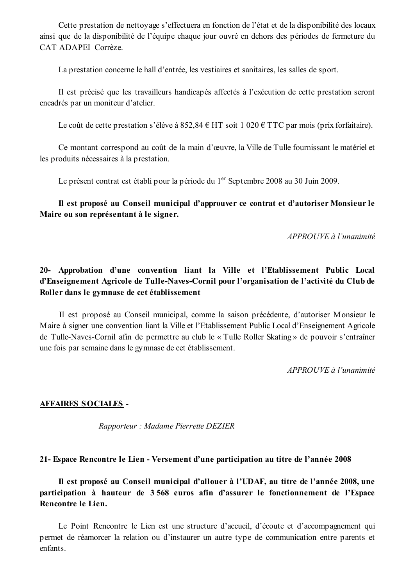Cette prestation de nettoyage s'effectuera en fonction de l'état et de la disponibilité des locaux ainsi que de la disponibilité de l'équipe chaque jour ouvré en dehors des périodes de fermeture du CAT ADAPEI Corrèze.

La prestation concerne le hall d'entrée, les vestiaires et sanitaires, les salles de sport.

Il est précisé que les travailleurs handicapés affectés à l'exécution de cette prestation seront encadrés par un moniteur d'atelier.

Le coût de cette prestation s'élève à 852,84 € HT soit 1 020 € TTC par mois (prix forfaitaire).

Ce montant correspond au coût de la main d'œuvre, la Ville de Tulle fournissant le matériel et les produits nécessaires à la prestation.

Le présent contrat est établi pour la période du 1<sup>er</sup> Septembre 2008 au 30 Juin 2009.

Il est proposé au Conseil municipal d'approuver ce contrat et d'autoriser Monsieur le Maire ou son représentant à le signer.

APPROUVE à l'unanimité

# 20- Approbation d'une convention liant la Ville et l'Etablissement Public Local d'Enseignement Agricole de Tulle-Naves-Cornil pour l'organisation de l'activité du Club de Roller dans le gymnase de cet établissement

Il est proposé au Conseil municipal, comme la saison précédente, d'autoriser Monsieur le Maire à signer une convention liant la Ville et l'Etablissement Public Local d'Enseignement Agricole de Tulle-Naves-Cornil afin de permettre au club le « Tulle Roller Skating » de pouvoir s'entraîner une fois par semaine dans le gymnase de cet établissement.

APPROUVE à l'unanimité

### **AFFAIRES SOCIALES -**

Rapporteur: Madame Pierrette DEZIER

### 21- Espace Rencontre le Lien - Versement d'une participation au titre de l'année 2008

Il est proposé au Conseil municipal d'allouer à l'UDAF, au titre de l'année 2008, une participation à hauteur de 3568 euros afin d'assurer le fonctionnement de l'Espace Rencontre le Lien.

Le Point Rencontre le Lien est une structure d'accueil, d'écoute et d'accompagnement qui permet de réamorcer la relation ou d'instaurer un autre type de communication entre parents et enfants.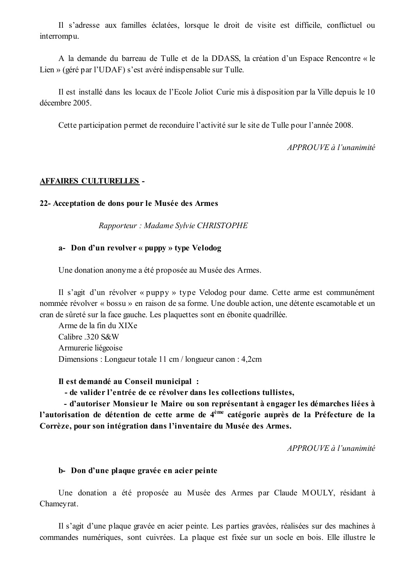Il s'adresse aux familles éclatées, lorsque le droit de visite est difficile, conflictuel ou interrompu.

A la demande du barreau de Tulle et de la DDASS, la création d'un Espace Rencontre « le Lien » (géré par l'UDAF) s'est avéré indispensable sur Tulle.

Il est installé dans les locaux de l'Ecole Joliot Curie mis à disposition par la Ville depuis le 10 décembre 2005.

Cette participation permet de reconduire l'activité sur le site de Tulle pour l'année 2008.

APPROUVE à l'unanimité

## **AFFAIRES CULTURELLES -**

### 22- Acceptation de dons pour le Musée des Armes

Rapporteur: Madame Sylvie CHRISTOPHE

### a- Don d'un revolver « puppy » type Velodog

Une donation anonyme a été proposée au Musée des Armes.

Il s'agit d'un révolver « puppy » type Velodog pour dame. Cette arme est communément nommée révolver « bossu » en raison de sa forme. Une double action, une détente escamotable et un cran de sûreté sur la face gauche. Les plaquettes sont en ébonite quadrillée.

Arme de la fin du XIXe Calibre .320 S&W Armurerie liégeoise Dimensions: Longueur totale 11 cm / longueur canon: 4,2cm

Il est demandé au Conseil municipal :

- de valider l'entrée de ce révolver dans les collections tullistes,

- d'autoriser Monsieur le Maire ou son représentant à engager les démarches liées à l'autorisation de détention de cette arme de 4<sup>ème</sup> catégorie auprès de la Préfecture de la Corrèze, pour son intégration dans l'inventaire du Musée des Armes.

 $APPROUVE$ à l'unanimité

### b-Don d'une plaque gravée en acier peinte

Une donation a été proposée au Musée des Armes par Claude MOULY, résidant à Chameyrat.

Il s'agit d'une plaque gravée en acier peinte. Les parties gravées, réalisées sur des machines à commandes numériques, sont cuivrées. La plaque est fixée sur un socle en bois. Elle illustre le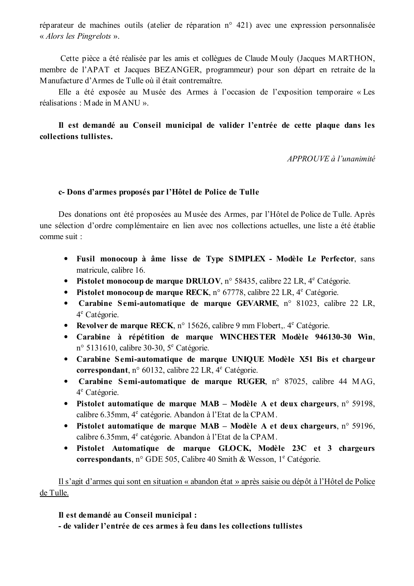réparateur de machines outils (atelier de réparation n° 421) avec une expression personnalisée « Alors les Pingrelots ».

Cette pièce a été réalisée par les amis et collègues de Claude Mouly (Jacques MARTHON, membre de l'APAT et Jacques BEZANGER, programmeur) pour son départ en retraite de la Manufacture d'Armes de Tulle où il était contremaître.

Elle a été exposée au Musée des Armes à l'occasion de l'exposition temporaire « Les réalisations : Made in MANU ».

# Il est demandé au Conseil municipal de valider l'entrée de cette plaque dans les collections tullistes.

APPROUVE à l'unanimité

### c-Dons d'armes proposés par l'Hôtel de Police de Tulle

Des donations ont été proposées au Musée des Armes, par l'Hôtel de Police de Tulle. Après une sélection d'ordre complémentaire en lien avec nos collections actuelles, une liste a été établie comme suit :

- Fusil monocoup à âme lisse de Type SIMPLEX Modèle Le Perfector, sans matricule, calibre 16.
- Pistolet monocoup de marque DRULOV, n° 58435, calibre 22 LR,  $4^e$  Catégorie.
- Pistolet monocoup de marque RECK, n° 67778, calibre 22 LR, 4<sup>e</sup> Catégorie.
- Carabine Semi-automatique de marque GEVARME, n° 81023, calibre 22 LR,  $4^e$  Catégorie.
- Revolver de marque RECK, n° 15626, calibre 9 mm Flobert,  $4^e$  Catégorie.
- Carabine à répétition de marque WINCHESTER Modèle 946130-30 Win,  $n^{\circ}$  5131610, calibre 30-30,  $5^{\circ}$  Catégorie.
- Carabine Semi-automatique de marque UNIQUE Modèle X51 Bis et chargeur correspondant, n° 60132, calibre 22 LR,  $4^e$  Catégorie.
- Carabine Semi-automatique de marque RUGER, n° 87025, calibre 44 MAG, 4<sup>e</sup> Catégorie.
- Pistolet automatique de marque MAB Modèle A et deux chargeurs,  $n^{\circ}$  59198, calibre 6.35mm, 4<sup>e</sup> catégorie. Abandon à l'Etat de la CPAM.
- Pistolet automatique de marque MAB Modèle A et deux chargeurs,  $n^{\circ}$  59196, calibre 6.35mm, 4<sup>e</sup> catégorie. Abandon à l'Etat de la CPAM.
- Pistolet Automatique de marque GLOCK, Modèle 23C et 3 chargeurs correspondants, n° GDE 505, Calibre 40 Smith & Wesson,  $1^e$  Catégorie.

Il s'agit d'armes qui sont en situation « abandon état » après saisie ou dépôt à l'Hôtel de Police de Tulle.

Il est demandé au Conseil municipal :

- de valider l'entrée de ces armes à feu dans les collections tullistes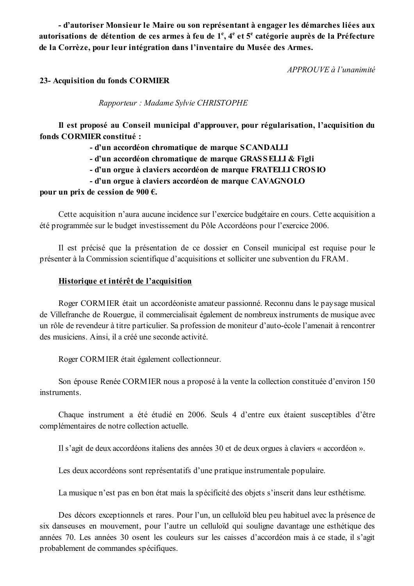- d'autoriser Monsieur le Maire ou son représentant à engager les démarches liées aux autorisations de détention de ces armes à feu de 1<sup>e</sup>, 4<sup>e</sup> et 5<sup>e</sup> catégorie auprès de la Préfecture de la Corrèze, pour leur intégration dans l'inventaire du Musée des Armes.

APPROUVE à l'unanimité

### 23- Acquisition du fonds CORMIER

Rapporteur: Madame Sylvie CHRISTOPHE

Il est proposé au Conseil municipal d'approuver, pour régularisation, l'acquisition du fonds CORMIER constitué :

- d'un accordéon chromatique de marque SCANDALLI

- d'un accordéon chromatique de marque GRASSELLI & Figli

- d'un orgue à claviers accordéon de marque FRATELLI CROSIO

- d'un orgue à claviers accordéon de marque CAVAGNOLO

### pour un prix de cession de 900  $\epsilon$ .

Cette acquisition n'aura aucune incidence sur l'exercice budgétaire en cours. Cette acquisition a été programmée sur le budget investissement du Pôle Accordéons pour l'exercice 2006.

Il est précisé que la présentation de ce dossier en Conseil municipal est requise pour le présenter à la Commission scientifique d'acquisitions et solliciter une subvention du FRAM.

### Historique et intérêt de l'acquisition

Roger CORMIER était un accordéoniste amateur passionné. Reconnu dans le paysage musical de Villefranche de Rouergue, il commercialisait également de nombreux instruments de musique avec un rôle de revendeur à titre particulier. Sa profession de moniteur d'auto-école l'amenait à rencontrer des musiciens. Ainsi, il a créé une seconde activité.

Roger CORMIER était également collectionneur.

Son épouse Renée CORMIER nous a proposé à la vente la collection constituée d'environ 150 instruments.

Chaque instrument a été étudié en 2006. Seuls 4 d'entre eux étaient susceptibles d'être complémentaires de notre collection actuelle.

Il s'agit de deux accordéons italiens des années 30 et de deux orgues à claviers « accordéon ».

Les deux accordéons sont représentatifs d'une pratique instrumentale populaire.

La musique n'est pas en bon état mais la spécificité des objets s'inscrit dans leur esthétisme.

Des décors exceptionnels et rares. Pour l'un, un celluloïd bleu peu habituel avec la présence de six danseuses en mouvement, pour l'autre un celluloïd qui souligne davantage une esthétique des années 70. Les années 30 osent les couleurs sur les caisses d'accordéon mais à ce stade, il s'agit probablement de commandes spécifiques.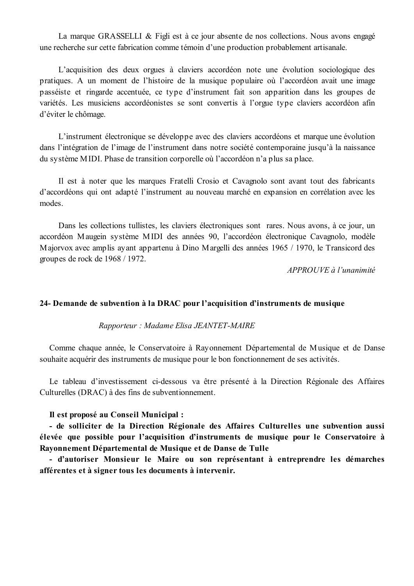La marque GRASSELLI & Figli est à ce jour absente de nos collections. Nous avons engagé une recherche sur cette fabrication comme témoin d'une production probablement artisanale.

L'acquisition des deux orgues à claviers accordéon note une évolution sociologique des pratiques. A un moment de l'histoire de la musique populaire où l'accordéon avait une image passéiste et ringarde accentuée, ce type d'instrument fait son apparition dans les groupes de variétés. Les musiciens accordéonistes se sont convertis à l'orgue type claviers accordéon afin d'éviter le chômage.

L'instrument électronique se développe avec des claviers accordéons et marque une évolution dans l'intégration de l'image de l'instrument dans notre société contemporaine jusqu'à la naissance du système MIDI. Phase de transition corporelle où l'accordéon n'a plus sa place.

Il est à noter que les marques Fratelli Crosio et Cavagnolo sont avant tout des fabricants d'accordéons qui ont adapté l'instrument au nouveau marché en expansion en corrélation avec les modes

Dans les collections tullistes, les claviers électroniques sont rares. Nous avons, à ce jour, un accordéon Maugein système MIDI des années 90, l'accordéon électronique Cavagnolo, modèle Majorvox avec amplis avant appartenu à Dino Margelli des années 1965 / 1970, le Transicord des groupes de rock de 1968 / 1972.

APPROUVE à l'unanimité

### 24- Demande de subvention à la DRAC pour l'acquisition d'instruments de musique

### Rapporteur: Madame Elisa JEANTET-MAIRE

Comme chaque année, le Conservatoire à Rayonnement Départemental de Musique et de Danse souhaite acquérir des instruments de musique pour le bon fonctionnement de ses activités.

Le tableau d'investissement ci-dessous va être présenté à la Direction Régionale des Affaires Culturelles (DRAC) à des fins de subventionnement.

### Il est proposé au Conseil Municipal :

- de solliciter de la Direction Régionale des Affaires Culturelles une subvention aussi élevée que possible pour l'acquisition d'instruments de musique pour le Conservatoire à Rayonnement Départemental de Musique et de Danse de Tulle

- d'autoriser Monsieur le Maire ou son représentant à entreprendre les démarches afférentes et à signer tous les documents à intervenir.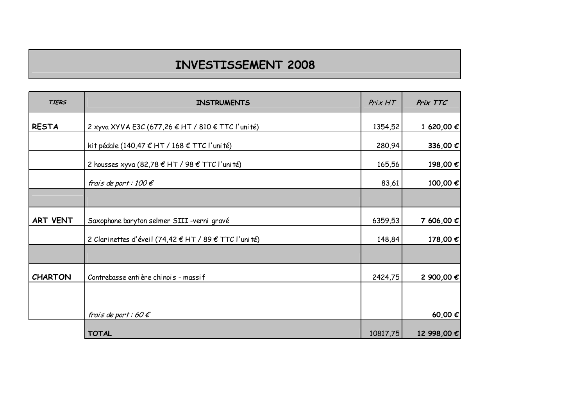# INVESTISSEMENT 2008

| <b>TIERS</b>   | <b>INSTRUMENTS</b>                                    | Prix HT  | Prix TTC    |
|----------------|-------------------------------------------------------|----------|-------------|
| <b>RESTA</b>   | 2 xyva XYVA E3C (677,26 € HT / 810 € TTC l'uni té)    | 1354,52  | 1 620,00 €  |
|                | ki t pédale (140,47 € HT / 168 € TTC l'uni té)        | 280,94   | 336,00 €    |
|                | 2 housses xyva (82,78 € HT / 98 € TTC l'uni té)       | 165,56   | 198,00 €    |
|                | frais de port : 100 $\epsilon$                        | 83,61    | 100,00 €    |
|                |                                                       |          |             |
| ART VENT       | Saxophone baryton selmer SIII -verni gravé            | 6359,53  | 7 606,00 €  |
|                | 2 Clarinettes d'éveil (74,42 € HT / 89 € TTC l'unité) | 148,84   | 178,00 €    |
|                |                                                       |          |             |
| <b>CHARTON</b> | Contrebasse entière chinois - massif                  | 2424,75  | 2 900,00 €  |
|                |                                                       |          |             |
|                | frais de port : 60 $\epsilon$                         |          | 60,00€      |
|                | <b>TOTAL</b>                                          | 10817,75 | 12 998,00 € |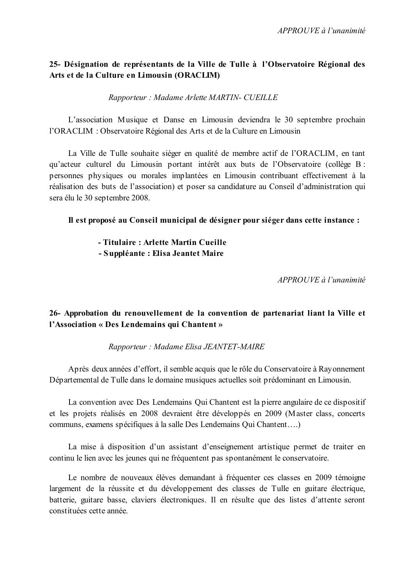## 25- Désignation de représentants de la Ville de Tulle à l'Observatoire Régional des Arts et de la Culture en Limousin (ORACLIM)

Rapporteur: Madame Arlette MARTIN- CUEILLE

L'association Musique et Danse en Limousin deviendra le 30 septembre prochain l'ORACLIM : Observatoire Régional des Arts et de la Culture en Limousin

La Ville de Tulle souhaite siéger en qualité de membre actif de l'ORACLIM, en tant qu'acteur culturel du Limousin portant intérêt aux buts de l'Observatoire (collège B : personnes physiques ou morales implantées en Limousin contribuant effectivement à la réalisation des buts de l'association) et poser sa candidature au Conseil d'administration qui sera élu le 30 septembre 2008.

Il est proposé au Conseil municipal de désigner pour siéger dans cette instance :

- Titulaire: Arlette Martin Cueille

- Suppléante : Elisa Jeantet Maire

 $APPROIIVE$  à l'unanimité

## 26- Approbation du renouvellement de la convention de partenariat liant la Ville et l'Association « Des Lendemains qui Chantent »

Rapporteur: Madame Elisa JEANTET-MAIRE

Après deux années d'effort, il semble acquis que le rôle du Conservatoire à Rayonnement Départemental de Tulle dans le domaine musiques actuelles soit prédominant en Limousin.

La convention avec Des Lendemains Qui Chantent est la pierre angulaire de ce dispositif et les projets réalisés en 2008 devraient être développés en 2009 (Master class, concerts communs, examens spécifiques à la salle Des Lendemains Qui Chantent....)

La mise à disposition d'un assistant d'enseignement artistique permet de traiter en continu le lien avec les jeunes qui ne fréquentent pas spontanément le conservatoire.

Le nombre de nouveaux élèves demandant à fréquenter ces classes en 2009 témoigne largement de la réussite et du développement des classes de Tulle en guitare électrique, batterie, guitare basse, claviers électroniques. Il en résulte que des listes d'attente seront constituées cette année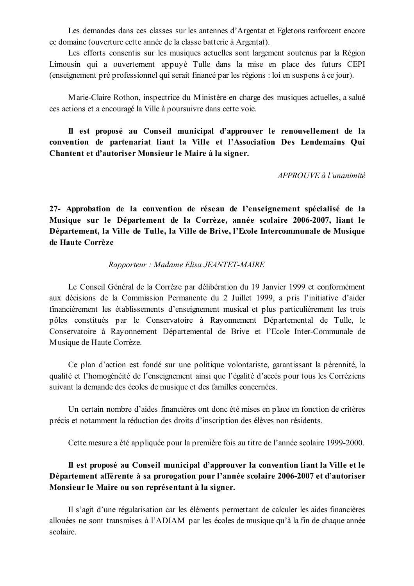Les demandes dans ces classes sur les antennes d'Argentat et Egletons renforcent encore ce domaine (ouverture cette année de la classe batterie à Argentat).

Les efforts consentis sur les musiques actuelles sont largement soutenus par la Région Limousin qui a ouvertement appuyé Tulle dans la mise en place des futurs CEPI (enseignement pré professionnel qui serait financé par les régions : loi en suspens à ce jour).

Marie-Claire Rothon, inspectrice du Ministère en charge des musiques actuelles, a salué ces actions et a encouragé la Ville à poursuivre dans cette voie.

Il est proposé au Conseil municipal d'approuver le renouvellement de la convention de partenariat liant la Ville et l'Association Des Lendemains Qui Chantent et d'autoriser Monsieur le Maire à la signer.

APPROUVE à l'unanimité

27- Approbation de la convention de réseau de l'enseignement spécialisé de la Musique sur le Département de la Corrèze, année scolaire 2006-2007, liant le Département, la Ville de Tulle, la Ville de Brive, l'Ecole Intercommunale de Musique de Haute Corrèze

### Rapporteur: Madame Elisa JEANTET-MAIRE

Le Conseil Général de la Corrèze par délibération du 19 Janvier 1999 et conformément aux décisions de la Commission Permanente du 2 Juillet 1999, a pris l'initiative d'aider financièrement les établissements d'enseignement musical et plus particulièrement les trois pôles constitués par le Conservatoire à Rayonnement Départemental de Tulle, le Conservatoire à Rayonnement Départemental de Brive et l'Ecole Inter-Communale de Musique de Haute Corrèze.

Ce plan d'action est fondé sur une politique volontariste, garantissant la pérennité, la qualité et l'homogénéité de l'enseignement ainsi que l'égalité d'accès pour tous les Corréziens suivant la demande des écoles de musique et des familles concernées.

Un certain nombre d'aides financières ont donc été mises en place en fonction de critères précis et notamment la réduction des droits d'inscription des élèves non résidents.

Cette mesure a été appliquée pour la première fois au titre de l'année scolaire 1999-2000.

# Il est proposé au Conseil municipal d'approuver la convention liant la Ville et le Département afférente à sa prorogation pour l'année scolaire 2006-2007 et d'autoriser Monsieur le Maire ou son représentant à la signer.

Il s'agit d'une régularisation car les éléments permettant de calculer les aides financières allouées ne sont transmises à l'ADIAM par les écoles de musique qu'à la fin de chaque année scolaire.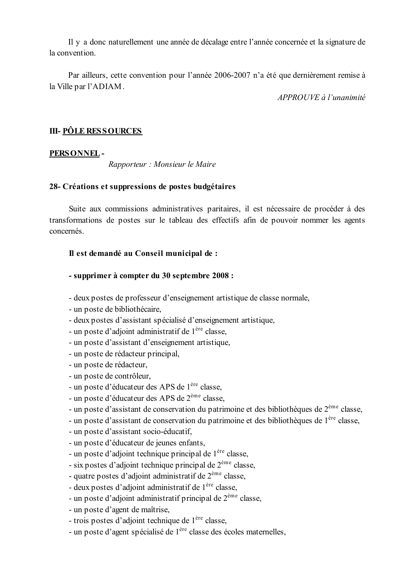Il y a donc naturellement une année de décalage entre l'année concernée et la signature de la convention.

Par ailleurs, cette convention pour l'année 2006-2007 n'a été que dernièrement remise à la Ville par l'ADIAM.

 $APPROIIVE$  à l'unanimité

# **III- PÔLE RESSOURCES**

### PERSONNEL-

Rapporteur : Monsieur le Maire

### 28- Créations et suppressions de postes budgétaires

Suite aux commissions administratives paritaires, il est nécessaire de procéder à des transformations de postes sur le tableau des effectifs afin de pouvoir nommer les agents concernés.

### Il est demandé au Conseil municipal de :

### - supprimer à compter du 30 septembre 2008 :

- deux postes de professeur d'enseignement artistique de classe normale,
- un poste de bibliothécaire,
- deux postes d'assistant spécialisé d'enseignement artistique,
- un poste d'adjoint administratif de 1<sup>ère</sup> classe.
- un poste d'assistant d'enseignement artistique,
- un poste de rédacteur principal,
- un poste de rédacteur,
- un poste de contrôleur,
- un poste d'éducateur des APS de 1<sup>ère</sup> classe.
- un poste d'éducateur des APS de 2<sup>ème</sup> classe.
- un poste d'assistant de conservation du patrimoine et des bibliothèques de 2<sup>ème</sup> classe,
- un poste d'assistant de conservation du patrimoine et des bibliothèques de l<sup>ère</sup> classe,
- un poste d'assistant socio-éducatif,
- un poste d'éducateur de jeunes enfants,
- un poste d'adjoint technique principal de 1<sup>ère</sup> classe,
- six postes d'adjoint technique principal de  $2^{\text{eme}}$  classe,
- quatre postes d'adioint administratif de  $2<sup>eme</sup>$  classe.
- deux postes d'adjoint administratif de l<sup>ère</sup> classe.
- un poste d'adjoint administratif principal de  $2^{\text{eme}}$  classe,
- un poste d'agent de maîtrise,
- trois postes d'adjoint technique de l<sup>ère</sup> classe,
- un poste d'agent spécialisé de 1<sup>ère</sup> classe des écoles maternelles,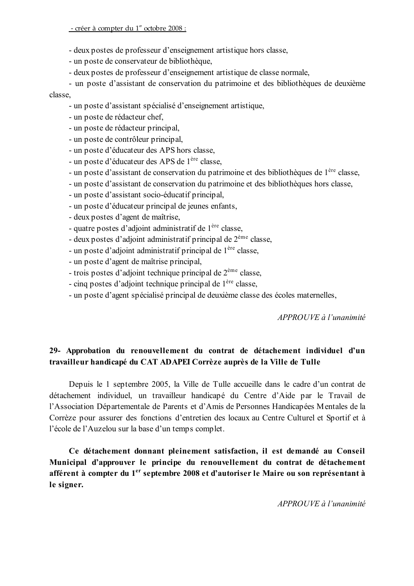- deux postes de professeur d'enseignement artistique hors classe.
- un poste de conservateur de bibliothèque,
- deux postes de professeur d'enseignement artistique de classe normale,

- un poste d'assistant de conservation du patrimoine et des bibliothèques de deuxième

classe,

- un poste d'assistant spécialisé d'enseignement artistique,
- un poste de rédacteur chef,
- un poste de rédacteur principal,
- un poste de contrôleur principal,
- un poste d'éducateur des APS hors classe.
- un poste d'éducateur des APS de 1<sup>ère</sup> classe.
- un poste d'assistant de conservation du patrimoine et des bibliothèques de l<sup>ère</sup> classe,
- un poste d'assistant de conservation du patrimoine et des bibliothèques hors classe,
- un poste d'assistant socio-éducatif principal,
- un poste d'éducateur principal de jeunes enfants,
- deux postes d'agent de maîtrise.
- quatre postes d'adjoint administratif de l<sup>ère</sup> classe.
- deux postes d'adjoint administratif principal de  $2<sup>eme</sup>$  classe,
- un poste d'adjoint administratif principal de l<sup>ère</sup> classe,
- un poste d'agent de maîtrise principal.
- trois postes d'adjoint technique principal de  $2^{\text{eme}}$  classe.
- cinq postes d'adjoint technique principal de 1<sup>ère</sup> classe,
- un poste d'agent spécialisé principal de deuxième classe des écoles maternelles,

APPROUVE à l'unanimité

## 29- Approbation du renouvellement du contrat de détachement individuel d'un travailleur handicapé du CAT ADAPEI Corrèze auprès de la Ville de Tulle

Depuis le 1 septembre 2005, la Ville de Tulle accueille dans le cadre d'un contrat de détachement individuel, un travailleur handicapé du Centre d'Aide par le Travail de l'Association Départementale de Parents et d'Amis de Personnes Handicapées Mentales de la Corrèze pour assurer des fonctions d'entretien des locaux au Centre Culturel et Sportif et à l'école de l'Auzelou sur la base d'un temps complet.

Ce détachement donnant pleinement satisfaction, il est demandé au Conseil Municipal d'approuver le principe du renouvellement du contrat de détachement afférent à compter du 1<sup>er</sup> septembre 2008 et d'autoriser le Maire ou son représentant à le signer.

APPROUVE à l'unanimité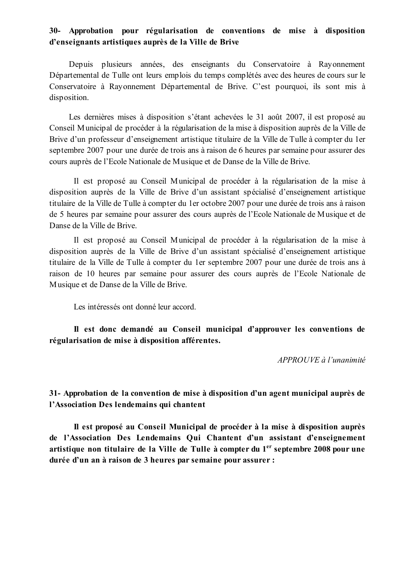## 30- Approbation pour régularisation de conventions de mise à disposition d'enseignants artistiques auprès de la Ville de Brive

Depuis plusieurs années, des enseignants du Conservatoire à Rayonnement Départemental de Tulle ont leurs emplois du temps complétés avec des heures de cours sur le Conservatoire à Rayonnement Départemental de Brive. C'est pourquoi, ils sont mis à disposition.

Les dernières mises à disposition s'étant achevées le 31 août 2007, il est proposé au Conseil Municipal de procéder à la régularisation de la mise à disposition auprès de la Ville de Brive d'un professeur d'enseignement artistique titulaire de la Ville de Tulle à compter du 1er septembre 2007 pour une durée de trois ans à raison de 6 heures par semaine pour assurer des cours auprès de l'Ecole Nationale de Musique et de Danse de la Ville de Brive.

Il est proposé au Conseil Municipal de procéder à la régularisation de la mise à disposition auprès de la Ville de Brive d'un assistant spécialisé d'enseignement artistique titulaire de la Ville de Tulle à compter du 1er octobre 2007 pour une durée de trois ans à raison de 5 heures par semaine pour assurer des cours auprès de l'Ecole Nationale de Musique et de Danse de la Ville de Brive.

Il est proposé au Conseil Municipal de procéder à la régularisation de la mise à disposition auprès de la Ville de Brive d'un assistant spécialisé d'enseignement artistique titulaire de la Ville de Tulle à compter du 1er septembre 2007 pour une durée de trois ans à raison de 10 heures par semaine pour assurer des cours auprès de l'Ecole Nationale de Musique et de Danse de la Ville de Brive.

Les intéressés ont donné leur accord.

Il est donc demandé au Conseil municipal d'approuver les conventions de régularisation de mise à disposition afférentes.

APPROUVE à l'unanimité

31- Approbation de la convention de mise à disposition d'un agent municipal auprès de l'Association Des lendemains qui chantent

Il est proposé au Conseil Municipal de procéder à la mise à disposition auprès de l'Association Des Lendemains Qui Chantent d'un assistant d'enseignement artistique non titulaire de la Ville de Tulle à compter du 1<sup>er</sup> septembre 2008 pour une durée d'un an à raison de 3 heures par semaine pour assurer :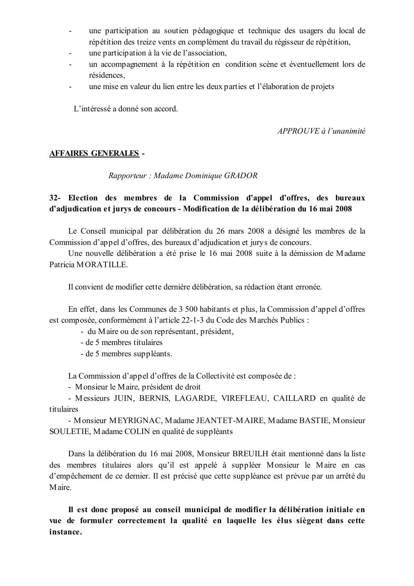- une participation au soutien pédagogique et technique des usagers du local de répétition des treize vents en complément du travail du régisseur de répétition,
- une participation à la vie de l'association,
- un accompagnement à la répétition en condition scène et éventuellement lors de  $\overline{a}$ résidences.
- une mise en valeur du lien entre les deux parties et l'élaboration de projets

L'intéressé a donné son accord.

APPROUVE à l'unanimité

## **AFFAIRES GENERALES -**

Rapporteur: Madame Dominique GRADOR

## 32- Election des membres de la Commission d'appel d'offres, des bureaux d'adjudication et jurys de concours - Modification de la délibération du 16 mai 2008

Le Conseil municipal par délibération du 26 mars 2008 a désigné les membres de la Commission d'appel d'offres, des bureaux d'adiudication et jurys de concours.

Une nouvelle délibération a été prise le 16 mai 2008 suite à la démission de Madame Patricia MORATILLE

Il convient de modifier cette dernière délibération, sa rédaction étant erronée.

En effet, dans les Communes de 3 500 habitants et plus, la Commission d'appel d'offres est composée, conformément à l'article 22-1-3 du Code des Marchés Publics :

- du Maire ou de son représentant, président,
- de 5 membres titulaires
- de 5 membres suppléants.

La Commission d'appel d'offres de la Collectivité est composée de :

- Monsieur le Maire, président de droit

- Messieurs JUIN, BERNIS, LAGARDE, VIREFLEAU, CAILLARD en qualité de titulaires

- Monsieur MEYRIGNAC, Madame JEANTET-MAIRE, Madame BASTIE, Monsieur SOULETIE, Madame COLIN en qualité de suppléants

Dans la délibération du 16 mai 2008, Monsieur BREUILH était mentionné dans la liste des membres titulaires alors qu'il est appelé à suppléer Monsieur le Maire en cas d'empêchement de ce dernier. Il est précisé que cette suppléance est prévue par un arrêté du Maire.

Il est donc proposé au conseil municipal de modifier la délibération initiale en vue de formuler correctement la qualité en laquelle les élus siègent dans cette instance.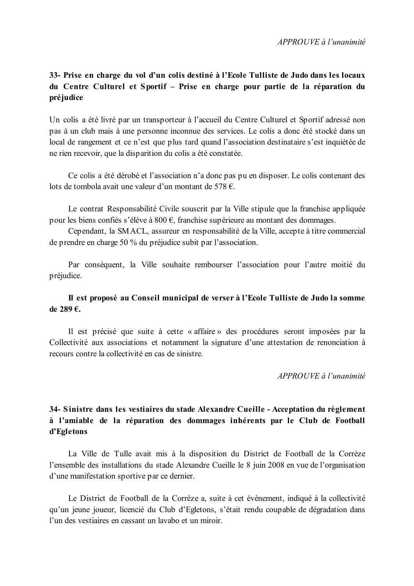# 33- Prise en charge du vol d'un colis destiné à l'Ecole Tulliste de Judo dans les locaux du Centre Culturel et Sportif - Prise en charge pour partie de la réparation du préjudice

Un colis a été livré par un transporteur à l'accueil du Centre Culturel et Sportif adressé non pas à un club mais à une personne inconnue des services. Le colis a donc été stocké dans un local de rangement et ce n'est que plus tard quand l'association destinataire s'est inquiétée de ne rien recevoir, que la disparition du colis a été constatée.

Ce colis a été dérobé et l'association n'a donc pas pu en disposer. Le colis contenant des lots de tombola avait une valeur d'un montant de 578  $\epsilon$ .

Le contrat Responsabilité Civile souscrit par la Ville stipule que la franchise appliquée pour les biens confiés s'élève à  $800 \text{ } \infty$ , franchise supérieure au montant des dommages.

Cependant, la SMACL, assureur en responsabilité de la Ville, accepte à titre commercial de prendre en charge 50 % du préjudice subit par l'association.

Par conséquent, la Ville souhaite rembourser l'association pour l'autre moitié du préjudice.

## Il est proposé au Conseil municipal de verser à l'Ecole Tulliste de Judo la somme de 289 €.

Il est précisé que suite à cette « affaire » des procédures seront imposées par la Collectivité aux associations et notamment la signature d'une attestation de renonciation à recours contre la collectivité en cas de sinistre.

APPROUVE à l'unanimité

# 34- Sinistre dans les vestiaires du stade Alexandre Cueille - Acceptation du règlement à l'amiable de la réparation des dommages inhérents par le Club de Football d'Egletons

La Ville de Tulle avait mis à la disposition du District de Football de la Corrèze l'ensemble des installations du stade Alexandre Cueille le 8 juin 2008 en vue de l'organisation d'une manifestation sportive par ce dernier.

Le District de Football de la Corrèze a, suite à cet évènement, indiqué à la collectivité qu'un jeune joueur, licencié du Club d'Egletons, s'était rendu coupable de dégradation dans l'un des vestiaires en cassant un lavabo et un miroir.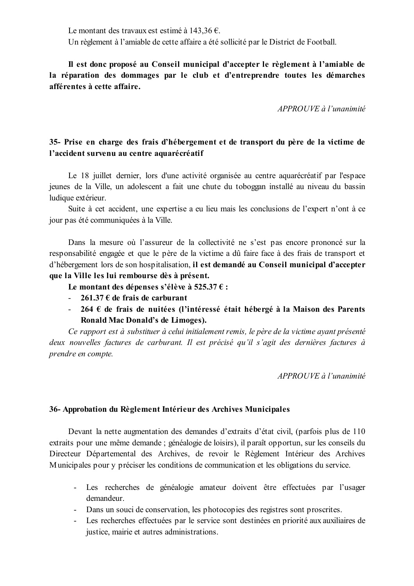Le montant des travaux est estimé à 143,36 €.

Un règlement à l'amiable de cette affaire a été sollicité par le District de Football.

Il est donc proposé au Conseil municipal d'accepter le règlement à l'amiable de la réparation des dommages par le club et d'entreprendre toutes les démarches afférentes à cette affaire.

 $APPROUVE \d{d} l'unanimit \d{e}$ 

# 35- Prise en charge des frais d'hébergement et de transport du père de la victime de l'accident survenu au centre aquarécréatif

Le 18 juillet dernier, lors d'une activité organisée au centre aquarécréatif par l'espace jeunes de la Ville, un adolescent a fait une chute du toboggan installé au niveau du bassin ludique extérieur.

Suite à cet accident, une expertise a eu lieu mais les conclusions de l'expert n'ont à ce jour pas été communiquées à la Ville.

Dans la mesure où l'assureur de la collectivité ne s'est pas encore prononcé sur la responsabilité engagée et que le père de la victime a dû faire face à des frais de transport et d'hébergement lors de son hospitalisation, il est demandé au Conseil municipal d'accepter que la Ville les lui rembourse dès à présent.

Le montant des dépenses s'élève à 525.37  $\epsilon$ :

- 261.37 € de frais de carburant
- 264  $\epsilon$  de frais de nuitées (l'intéressé était hébergé à la Maison des Parents Ronald Mac Donald's de Limoges).

Ce rapport est à substituer à celui initialement remis, le père de la victime avant présenté deux nouvelles factures de carburant. Il est précisé qu'il s'agit des dernières factures à prendre en compte.

APPROUVE à l'unanimité

## 36- Approbation du Règlement Intérieur des Archives Municipales

Devant la nette augmentation des demandes d'extraits d'état civil, (parfois plus de 110 extraits pour une même demande ; généalogie de loisirs), il paraît opportun, sur les conseils du Directeur Départemental des Archives, de revoir le Règlement Intérieur des Archives Municipales pour y préciser les conditions de communication et les obligations du service.

- Les recherches de généalogie amateur doivent être effectuées par l'usager demandeur
- Dans un souci de conservation, les photocopies des registres sont proscrites.
- Les recherches effectuées par le service sont destinées en priorité aux auxiliaires de justice, mairie et autres administrations.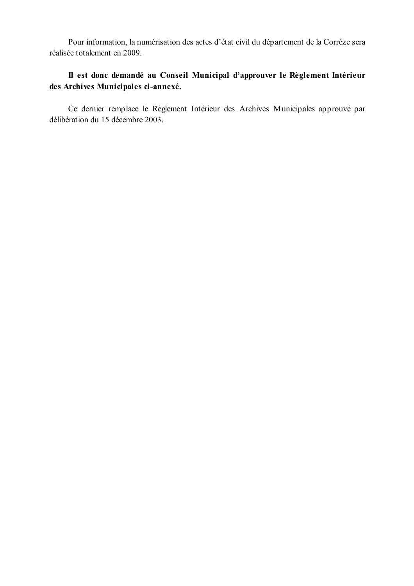Pour information, la numérisation des actes d'état civil du département de la Corrèze sera réalisée totalement en 2009.

# Il est donc demandé au Conseil Municipal d'approuver le Règlement Intérieur des Archives Municipales ci-annexé.

Ce dernier remplace le Règlement Intérieur des Archives Municipales approuvé par délibération du 15 décembre 2003.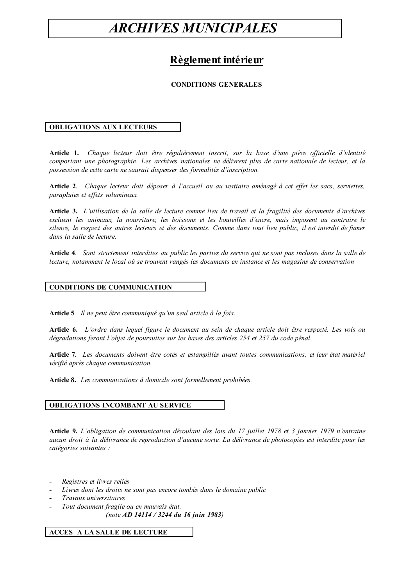# **ARCHIVES MUNICIPALES**

# Règlement intérieur

### **CONDITIONS GENERALES**

### **OBLIGATIONS AUX LECTEURS**

Article 1. Chaque lecteur doit être régulièrement inscrit, sur la base d'une pièce officielle d'identité comportant une photographie. Les archives nationales ne délivrent plus de carte nationale de lecteur, et la possession de cette carte ne saurait dispenser des formalités d'inscription.

Article 2. Chaque lecteur doit déposer à l'accueil ou au vestiaire aménagé à cet effet les sacs, serviettes, parapluies et effets volumineux.

Article 3. L'utilisation de la salle de lecture comme lieu de travail et la fragilité des documents d'archives excluent les animaux, la nourriture, les boissons et les bouteilles d'encre, mais imposent au contraire le silence, le respect des autres lecteurs et des documents. Comme dans tout lieu public, il est interdit de fumer dans la salle de lecture.

Article 4. Sont strictement interdites au public les parties du service qui ne sont pas incluses dans la salle de lecture, notamment le local où se trouvent rangés les documents en instance et les magasins de conservation

### **CONDITIONS DE COMMUNICATION**

Article 5. Il ne peut être communiqué qu'un seul article à la fois.

**Article 6.** L'ordre dans lequel figure le document au sein de chaque article doit être respecté. Les vols ou dégradations feront l'objet de poursuites sur les bases des articles 254 et 257 du code pénal.

Article 7. Les documents doivent être cotés et estampillés avant toutes communications, et leur état matériel vérifié après chaque communication.

Article 8. Les communications à domicile sont formellement prohibées.

### OBLIGATIONS INCOMBANT AU SERVICE

Article 9. L'obligation de communication découlant des lois du 17 juillet 1978 et 3 janvier 1979 n'entraine aucun droit à la délivrance de reproduction d'aucune sorte. La délivrance de photocopies est interdite pour les catégories suivantes :

- Registres et livres reliés
- Livres dont les droits ne sont pas encore tombés dans le domaine public
- Travaux universitaires
- Tout document fragile ou en mauvais état.
	- (note AD 14114 / 3244 du 16 juin 1983)

#### **ACCES A LA SALLE DE LECTURE**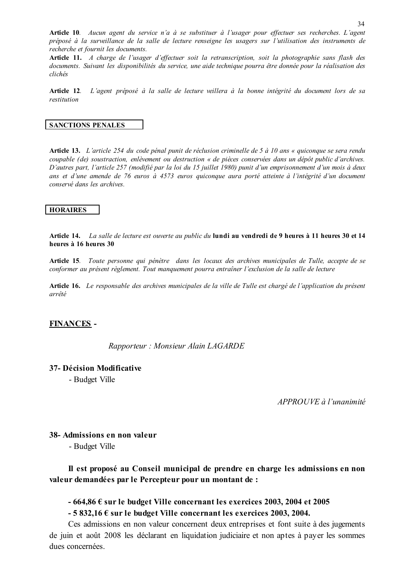Article 10. Aucun agent du service n'a à se substituer à l'usager pour effectuer ses recherches. L'agent préposé à la surveillance de la salle de lecture renseigne les usagers sur l'utilisation des instruments de recherche et fournit les documents.

Article 11. A charge de l'usager d'effectuer soit la retranscription, soit la photographie sans flash des documents. Suivant les disponibilités du service, une aide technique pourra être donnée pour la réalisation des clichés

Article 12. L'agent préposé à la salle de lecture veillera à la bonne intégrité du document lors de sa restitution

#### **SANCTIONS PENALES**

**Article 13.** L'article 254 du code pénal punit de réclusion criminelle de 5 à 10 ans « quiconque se sera rendu coupable (de) soustraction, enlèvement ou destruction « de pièces conservées dans un dépôt public d'archives. D'autres part, l'article 257 (modifié par la loi du 15 juillet 1980) punit d'un emprisonnement d'un mois à deux ans et d'une amende de 76 euros à 4573 euros quiconque aura porté atteinte à l'intégrité d'un document conservé dans les archives

### **HORAIRES**

Article 14. La salle de lecture est ouverte au public du lundi au vendredi de 9 heures à 11 heures 30 et 14 heures à 16 heures 30

Article 15. Toute personne qui pénètre dans les locaux des archives municipales de Tulle, accepte de se conformer au présent règlement. Tout manquement pourra entraîner l'exclusion de la salle de lecture

Article 16. Le responsable des archives municipales de la ville de Tulle est chargé de l'application du présent arrêté

### **FINANCES -**

Rapporteur: Monsieur Alain LAGARDE

### 37- Décision Modificative

- Budget Ville

APPROUVE à l'unanimité

38- Admissions en non valeur

- Budget Ville

Il est proposé au Conseil municipal de prendre en charge les admissions en non valeur demandées par le Percepteur pour un montant de :

## $-664,86 \text{ } \in$  sur le budget Ville concernant les exercices 2003, 2004 et 2005

 $-5832,16 \in$  sur le budget Ville concernant les exercices 2003, 2004.

Ces admissions en non valeur concernent deux entreprises et font suite à des jugements de juin et août 2008 les déclarant en liquidation judiciaire et non aptes à payer les sommes dues concernées.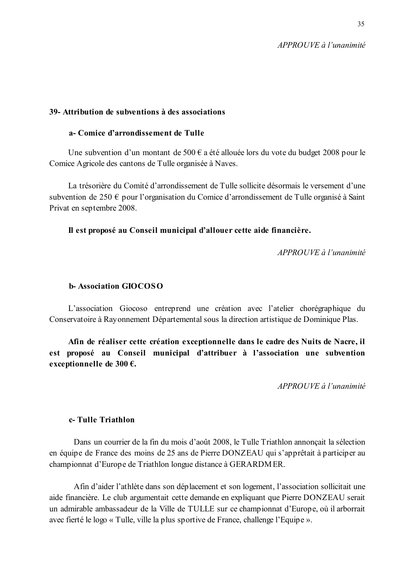### 39- Attribution de subventions à des associations

### a- Comice d'arrondissement de Tulle

Une subvention d'un montant de 500  $\epsilon$  a été allouée lors du vote du budget 2008 pour le Comice Agricole des cantons de Tulle organisée à Naves.

La trésorière du Comité d'arrondissement de Tulle sollicite désormais le versement d'une subvention de 250  $\epsilon$  pour l'organisation du Comice d'arrondissement de Tulle organisé à Saint Privat en septembre 2008.

## Il est proposé au Conseil municipal d'allouer cette aide financière.

 $APPROIIVE$  à l'unanimité

### **b-Association GIOCOSO**

L'association Giocoso entreprend une création avec l'atelier chorégraphique du Conservatoire à Rayonnement Départemental sous la direction artistique de Dominique Plas.

Afin de réaliser cette création exceptionnelle dans le cadre des Nuits de Nacre, il est proposé au Conseil municipal d'attribuer à l'association une subvention exceptionnelle de 300 €.

 $APPROUVE\`{a} l'unanimit\`{e}$ 

## c-Tulle Triathlon

Dans un courrier de la fin du mois d'août 2008, le Tulle Triathlon annonçait la sélection en équipe de France des moins de 25 ans de Pierre DONZEAU qui s'apprêtait à participer au championnat d'Europe de Triathlon longue distance à GERARDMER.

Afin d'aider l'athlète dans son déplacement et son logement, l'association sollicitait une aide financière. Le club argumentait cette demande en expliquant que Pierre DONZEAU serait un admirable ambassadeur de la Ville de TULLE sur ce championnat d'Europe, où il arborrait avec fierté le logo « Tulle, ville la plus sportive de France, challenge l'Equipe ».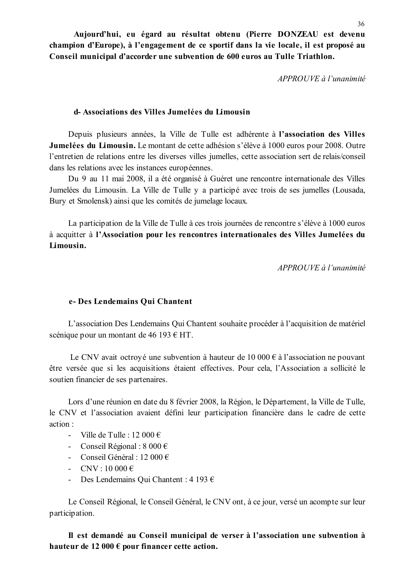Aujourd'hui, eu égard au résultat obtenu (Pierre DONZEAU est devenu champion d'Europe), à l'engagement de ce sportif dans la vie locale, il est proposé au Conseil municipal d'accorder une subvention de 600 euros au Tulle Triathlon.

APPROUVE à l'unanimité

### d-Associations des Villes Jumelées du Limousin

Depuis plusieurs années, la Ville de Tulle est adhérente à l'association des Villes Jumelées du Limousin. Le montant de cette adhésion s'élève à 1000 euros pour 2008. Outre l'entretien de relations entre les diverses villes jumelles, cette association sert de relais/conseil dans les relations avec les instances européennes.

Du 9 au 11 mai 2008, il a été organisé à Guéret une rencontre internationale des Villes Jumelées du Limousin. La Ville de Tulle y a participé avec trois de ses jumelles (Lousada, Bury et Smolensk) ainsi que les comités de jumelage locaux.

La participation de la Ville de Tulle à ces trois journées de rencontre s'élève à 1000 euros à acquitter à l'Association pour les rencontres internationales des Villes Jumelées du Limousin.

APPROUVE à l'unanimité

### e- Des Lendemains Oui Chantent

L'association Des Lendemains Qui Chantent souhaite procéder à l'acquisition de matériel scénique pour un montant de 46 193 € HT.

Le CNV avait octroyé une subvention à hauteur de 10 000  $\epsilon$  à l'association ne pouvant être versée que si les acquisitions étaient effectives. Pour cela, l'Association a sollicité le soutien financier de ses partenaires.

Lors d'une réunion en date du 8 février 2008, la Région, le Département, la Ville de Tulle, le CNV et l'association avaient défini leur participation financière dans le cadre de cette  $action<sup>2</sup>$ 

- Ville de Tulle : 12 000  $\epsilon$
- Conseil Régional :  $8000 \in$
- Conseil Général : 12 000  $\epsilon$
- CNV : 10 000 €
- Des Lendemains Qui Chantent : 4 193  $\epsilon$

Le Conseil Régional, le Conseil Général, le CNV ont, à ce jour, versé un acompte sur leur participation.

Il est demandé au Conseil municipal de verser à l'association une subvention à hauteur de 12 000  $\epsilon$  pour financer cette action.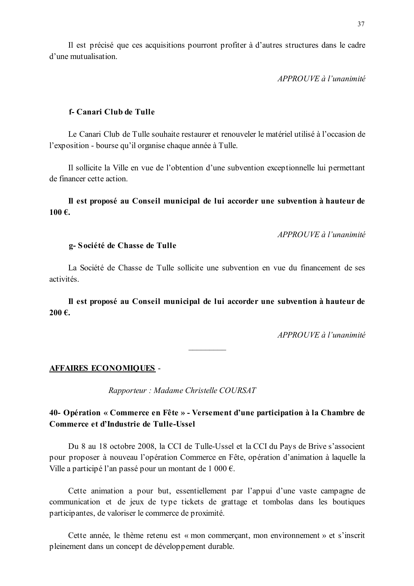Il est précisé que ces acquisitions pourront profiter à d'autres structures dans le cadre d'une mutualisation

APPROUVE à l'unanimité

### f-Canari Club de Tulle

Le Canari Club de Tulle souhaite restaurer et renouveler le matériel utilisé à l'occasion de l'exposition - bourse qu'il organise chaque année à Tulle.

Il sollicite la Ville en vue de l'obtention d'une subvention exceptionnelle lui permettant de financer cette action.

### Il est proposé au Conseil municipal de lui accorder une subvention à hauteur de 100€.

 $APPROIIVE$  à l'unanimité

### g-Société de Chasse de Tulle

La Société de Chasse de Tulle sollicite une subvention en vue du financement de ses activités

Il est proposé au Conseil municipal de lui accorder une subvention à hauteur de  $200€$ .

 $APPROIIVE$  à l'unanimité

### **AFFAIRES ECONOMIQUES -**

Rapporteur : Madame Christelle COURSAT

## 40- Opération « Commerce en Fête » - Versement d'une participation à la Chambre de Commerce et d'Industrie de Tulle-Ussel

Du 8 au 18 octobre 2008, la CCI de Tulle-Ussel et la CCI du Pays de Brive s'associent pour proposer à nouveau l'opération Commerce en Fête, opération d'animation à laquelle la Ville a participé l'an passé pour un montant de 1 000 €.

Cette animation a pour but, essentiellement par l'appui d'une vaste campagne de communication et de jeux de type tickets de grattage et tombolas dans les boutiques participantes, de valoriser le commerce de proximité.

Cette année, le thème retenu est « mon commerçant, mon environnement » et s'inscrit pleinement dans un concept de développement durable.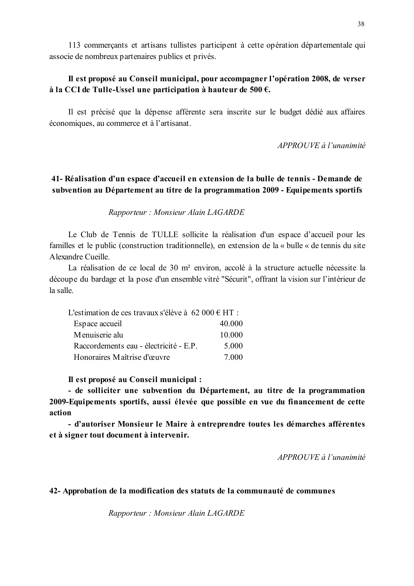113 commerçants et artisans tullistes participent à cette opération départementale qui associe de nombreux partenaires publics et privés.

## Il est proposé au Conseil municipal, pour accompagner l'opération 2008, de verser à la CCI de Tulle-Ussel une participation à hauteur de 500  $\epsilon$ .

Il est précisé que la dépense afférente sera inscrite sur le budget dédié aux affaires économiques, au commerce et à l'artisanat.

APPROUVE à l'unanimité

## 41- Réalisation d'un espace d'accueil en extension de la bulle de tennis - Demande de subvention au Département au titre de la programmation 2009 - Equipements sportifs

### Rapporteur: Monsieur Alain LAGARDE

Le Club de Tennis de TULLE sollicite la réalisation d'un espace d'accueil pour les familles et le public (construction traditionnelle), en extension de la « bulle « de tennis du site A lexandre Cueille

La réalisation de ce local de 30 m<sup>2</sup> environ, accolé à la structure actuelle nécessite la découpe du bardage et la pose d'un ensemble vitré "Sécurit", offrant la vision sur l'intérieur de la salle.

| L'estimation de ces travaux s'élève à 62 000 $\epsilon$ HT : |        |
|--------------------------------------------------------------|--------|
| Espace accueil                                               | 40.000 |
| Menuiserie alu                                               | 10.000 |
| Raccordements eau - électricité - E.P.                       | 5.000  |
| Honoraires Maîtrise d'œuvre                                  | 7.000  |

Il est proposé au Conseil municipal :

- de solliciter une subvention du Département, au titre de la programmation 2009-Equipements sportifs, aussi élevée que possible en vue du financement de cette action

- d'autoriser Monsieur le Maire à entreprendre toutes les démarches afférentes et à signer tout document à intervenir.

 $APPROUVE\`{a} l'unanimit\`{e}$ 

### 42- Approbation de la modification des statuts de la communauté de communes

Rapporteur: Monsieur Alain LAGARDE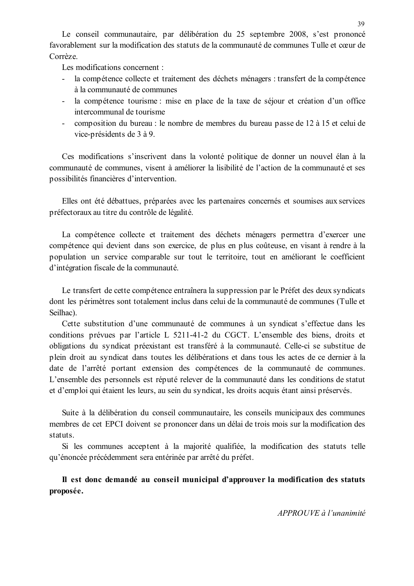Le conseil communautaire, par délibération du 25 septembre 2008, s'est prononcé favorablement sur la modification des statuts de la communauté de communes Tulle et cœur de Corrèze

Les modifications concernent :

- la compétence collecte et traitement des déchets ménagers : transfert de la compétence à la communauté de communes
- la compétence tourisme : mise en place de la taxe de séjour et création d'un office intercommunal de tourisme
- composition du bureau : le nombre de membres du bureau passe de 12 à 15 et celui de vice-présidents de 3 à 9.

Ces modifications s'inscrivent dans la volonté politique de donner un nouvel élan à la communauté de communes, visent à améliorer la lisibilité de l'action de la communauté et ses possibilités financières d'intervention.

Elles ont été débattues, préparées avec les partenaires concernés et soumises aux services préfectoraux au titre du contrôle de légalité.

La compétence collecte et traitement des déchets ménagers permettra d'exercer une compétence qui devient dans son exercice, de plus en plus coûteuse, en visant à rendre à la population un service comparable sur tout le territoire, tout en améliorant le coefficient d'intégration fiscale de la communauté.

Le transfert de cette compétence entraînera la suppression par le Préfet des deux syndicats dont les périmètres sont totalement inclus dans celui de la communauté de communes (Tulle et Seilhac).

Cette substitution d'une communauté de communes à un syndicat s'effectue dans les conditions prévues par l'article L 5211-41-2 du CGCT. L'ensemble des biens, droits et obligations du syndicat préexistant est transféré à la communauté. Celle-ci se substitue de plein droit au syndicat dans toutes les délibérations et dans tous les actes de ce dernier à la date de l'arrêté portant extension des compétences de la communauté de communes. L'ensemble des personnels est réputé relever de la communauté dans les conditions de statut et d'emploi qui étaient les leurs, au sein du syndicat, les droits acquis étant ainsi préservés.

Suite à la délibération du conseil communautaire, les conseils municipaux des communes membres de cet EPCI doivent se prononcer dans un délai de trois mois sur la modification des statuts.

Si les communes acceptent à la majorité qualifiée, la modification des statuts telle qu'énoncée précédemment sera entérinée par arrêté du préfet.

Il est donc demandé au conseil municipal d'approuver la modification des statuts proposée.

APPROUVE à l'unanimité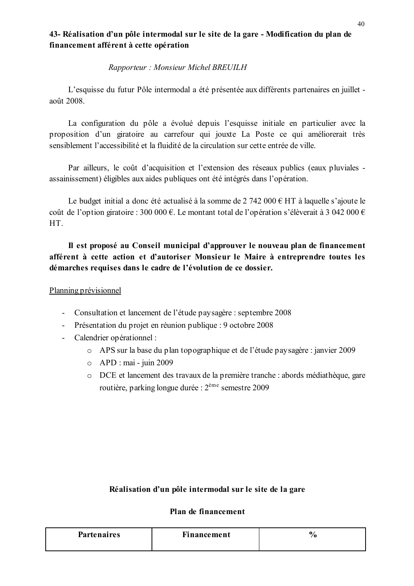# 43- Réalisation d'un pôle intermodal sur le site de la gare - Modification du plan de financement afférent à cette opération

## Rapporteur: Monsieur Michel BREUILH

L'esquisse du futur Pôle intermodal a été présentée aux différents partenaires en juillet août 2008.

La configuration du pôle a évolué depuis l'esquisse initiale en particulier avec la proposition d'un giratoire au carrefour qui jouxte La Poste ce qui améliorerait très sensiblement l'accessibilité et la fluidité de la circulation sur cette entrée de ville.

Par ailleurs, le coût d'acquisition et l'extension des réseaux publics (eaux pluviales assainissement) éligibles aux aides publiques ont été intégrés dans l'opération.

Le budget initial a donc été actualisé à la somme de  $2\,742\,000 \in HT$  à laquelle s'ajoute le coût de l'option giratoire : 300 000 €. Le montant total de l'opération s'élèverait à 3 042 000 € HT.

# Il est proposé au Conseil municipal d'approuver le nouveau plan de financement afférent à cette action et d'autoriser Monsieur le Maire à entreprendre toutes les démarches requises dans le cadre de l'évolution de ce dossier.

## Planning prévisionnel

- Consultation et lancement de l'étude paysagère : septembre 2008
- Présentation du projet en réunion publique : 9 octobre 2008
- Calendrier opérationnel :
	- o APS sur la base du plan topographique et de l'étude paysagère : janvier 2009
	- $\circ$  APD : mai juin 2009
	- O DCE et lancement des travaux de la première tranche : abords médiathèque, gare routière, parking longue durée :  $2^{\text{eme}}$  semestre 2009

## Réalisation d'un pôle intermodal sur le site de la gare

# Plan de financement

| <b>Partenaires</b> | <b>Financement</b> | 70 |
|--------------------|--------------------|----|
|                    |                    |    |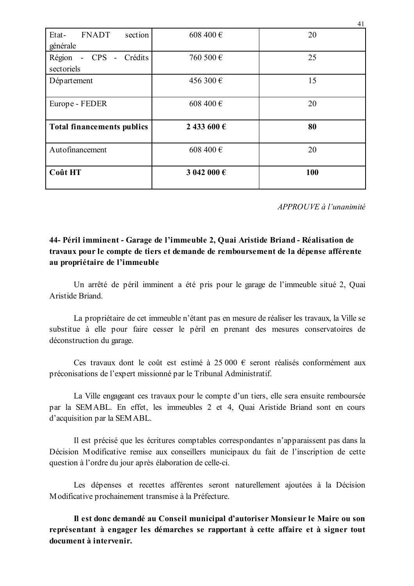| <b>FNADT</b><br>Etat-<br>section<br>générale | 608 400 €   | 20  |
|----------------------------------------------|-------------|-----|
| - CPS - Crédits<br>Région<br>sectoriels      | 760 500 €   | 25  |
| Département                                  | 456 300 €   | 15  |
| Europe - FEDER                               | 608 400 €   | 20  |
| <b>Total financements publics</b>            | 2 433 600 € | 80  |
| Autofinancement                              | 608 400€    | 20  |
| Coût HT                                      | 3 042 000 € | 100 |

 $APPROUVE \d{d} l'unanimit$ 

# 44- Péril imminent - Garage de l'immeuble 2. Quai Aristide Briand - Réalisation de travaux pour le compte de tiers et demande de remboursement de la dépense afférente au propriétaire de l'immeuble

Un arrêté de péril imminent a été pris pour le garage de l'immeuble situé 2, Quai Aristide Briand

La propriétaire de cet immeuble n'étant pas en mesure de réaliser les travaux, la Ville se substitue à elle pour faire cesser le péril en prenant des mesures conservatoires de déconstruction du garage.

Ces travaux dont le coût est estimé à 25 000 € seront réalisés conformément aux préconisations de l'expert missionné par le Tribunal Administratif.

La Ville engageant ces travaux pour le compte d'un tiers, elle sera ensuite remboursée par la SEMABL. En effet, les immeubles 2 et 4, Quai Aristide Briand sont en cours d'acquisition par la SEMABL.

Il est précisé que les écritures comptables correspondantes n'apparaissent pas dans la Décision Modificative remise aux conseillers municipaux du fait de l'inscription de cette question à l'ordre du jour après élaboration de celle-ci.

Les dépenses et recettes afférentes seront naturellement ajoutées à la Décision Modificative prochainement transmise à la Préfecture.

Il est donc demandé au Conseil municipal d'autoriser Monsieur le Maire ou son représentant à engager les démarches se rapportant à cette affaire et à signer tout document à intervenir.

41